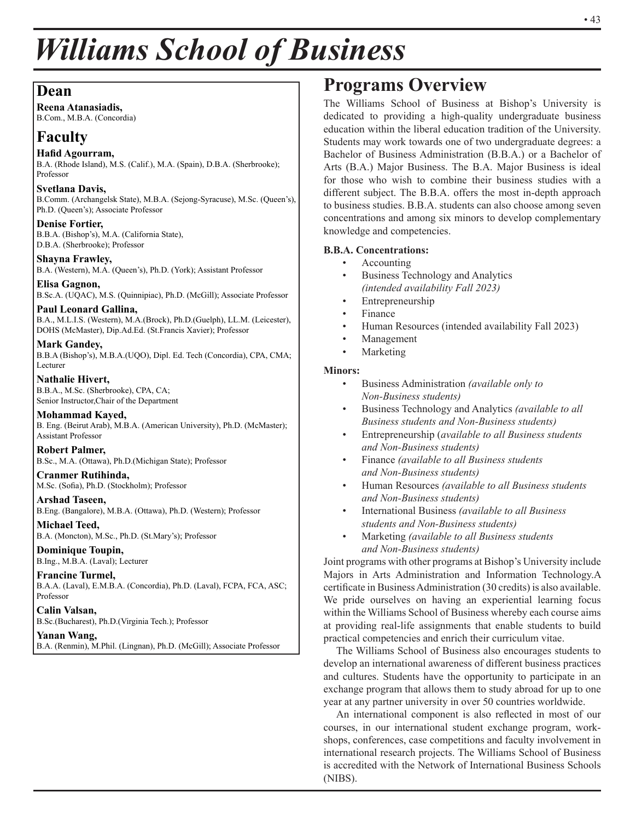# *Williams School of Business*

## **Dean**

**Reena Atanasiadis,** B.Com., M.B.A. (Concordia)

## **Faculty**

### **Hafid Agourram,**

B.A. (Rhode Island), M.S. (Calif.), M.A. (Spain), D.B.A. (Sherbrooke); Professor

#### **Svetlana Davis,** B.Comm. (Archangelsk State), M.B.A. (Sejong-Syracuse), M.Sc. (Queen's), Ph.D. (Queen's); Associate Professor

**Denise Fortier,** B.B.A. (Bishop's), M.A. (California State), D.B.A. (Sherbrooke); Professor

**Shayna Frawley,** B.A. (Western), M.A. (Queen's), Ph.D. (York); Assistant Professor

**Elisa Gagnon,** B.Sc.A. (UQAC), M.S. (Quinnipiac), Ph.D. (McGill); Associate Professor

#### **Paul Leonard Gallina,** B.A., M.L.I.S. (Western), M.A.(Brock), Ph.D.(Guelph), LL.M. (Leicester), DOHS (McMaster), Dip.Ad.Ed. (St.Francis Xavier); Professor

**Mark Gandey,** B.B.A (Bishop's), M.B.A.(UQO), Dipl. Ed. Tech (Concordia), CPA, CMA; Lecturer

**Nathalie Hivert,** B.B.A., M.Sc. (Sherbrooke), CPA, CA; Senior Instructor,Chair of the Department

**Mohammad Kayed,** B. Eng. (Beirut Arab), M.B.A. (American University), Ph.D. (McMaster); Assistant Professor

**Robert Palmer,**  B.Sc., M.A. (Ottawa), Ph.D.(Michigan State); Professor

**Cranmer Rutihinda,**  M.Sc. (Sofia), Ph.D. (Stockholm); Professor

#### **Arshad Taseen,**  B.Eng. (Bangalore), M.B.A. (Ottawa), Ph.D. (Western); Professor

**Michael Teed,** B.A. (Moncton), M.Sc., Ph.D. (St.Mary's); Professor

**Dominique Toupin,** B.Ing., M.B.A. (Laval); Lecturer

**Francine Turmel,** B.A.A. (Laval), E.M.B.A. (Concordia), Ph.D. (Laval), FCPA, FCA, ASC; Professor

**Calin Valsan,** B.Sc.(Bucharest), Ph.D.(Virginia Tech.); Professor

## **Yanan Wang,**

B.A. (Renmin), M.Phil. (Lingnan), Ph.D. (McGill); Associate Professor

## **Programs Overview**

The Williams School of Business at Bishop's University is dedicated to providing a high-quality undergraduate business education within the liberal education tradition of the University. Students may work towards one of two undergraduate degrees: a Bachelor of Business Administration (B.B.A.) or a Bachelor of Arts (B.A.) Major Business. The B.A. Major Business is ideal for those who wish to combine their business studies with a different subject. The B.B.A. offers the most in-depth approach to business studies. B.B.A. students can also choose among seven concentrations and among six minors to develop complementary knowledge and competencies.

## **B.B.A. Concentrations:**

- Accounting
- Business Technology and Analytics *(intended availability Fall 2023)*
- **Entrepreneurship**
- **Finance**
- Human Resources (intended availability Fall 2023)
- Management
- **Marketing**

## **Minors:**

- Business Administration *(available only to Non-Business students)*
- Business Technology and Analytics *(available to all Business students and Non-Business students)*
- Entrepreneurship (*available to all Business students and Non-Business students)*
- Finance *(available to all Business students and Non-Business students)*
- Human Resources *(available to all Business students and Non-Business students)*
- International Business *(available to all Business students and Non-Business students)*
- Marketing *(available to all Business students and Non-Business students)*

Joint programs with other programs at Bishop's University include Majors in Arts Administration and Information Technology.A certificate in Business Administration (30 credits) is also available. We pride ourselves on having an experiential learning focus within the Williams School of Business whereby each course aims at providing real-life assignments that enable students to build practical competencies and enrich their curriculum vitae.

The Williams School of Business also encourages students to develop an international awareness of different business practices and cultures. Students have the opportunity to participate in an exchange program that allows them to study abroad for up to one year at any partner university in over 50 countries worldwide.

An international component is also reflected in most of our courses, in our international student exchange program, workshops, conferences, case competitions and faculty involvement in international research projects. The Williams School of Business is accredited with the Network of International Business Schools (NIBS).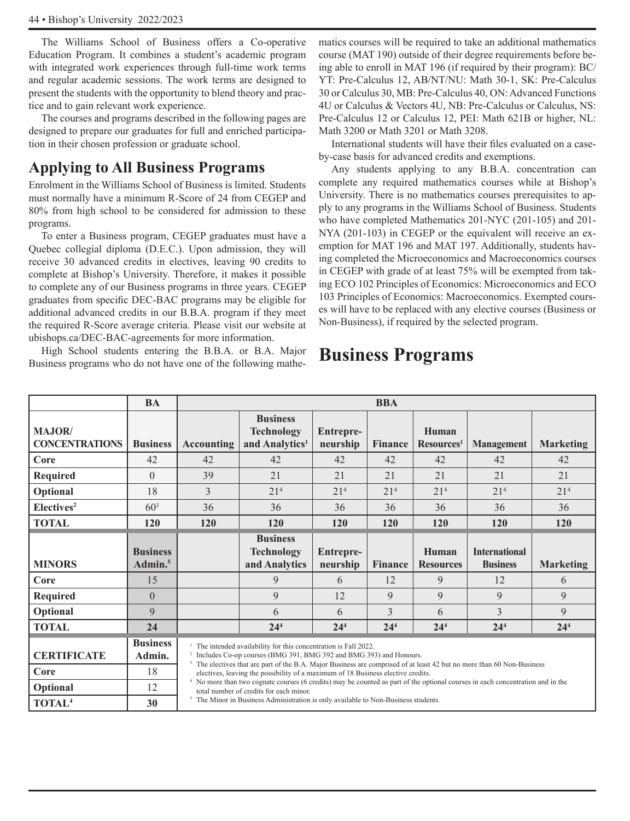The Williams School of Business offers a Co-operative Education Program. It combines a student's academic program with integrated work experiences through full-time work terms and regular academic sessions. The work terms are designed to present the students with the opportunity to blend theory and practice and to gain relevant work experience.

The courses and programs described in the following pages are designed to prepare our graduates for full and enriched participation in their chosen profession or graduate school.

## **Applying to All Business Programs**

Enrolment in the Williams School of Business is limited. Students must normally have a minimum R-Score of 24 from CEGEP and 80% from high school to be considered for admission to these programs.

To enter a Business program, CEGEP graduates must have a Quebec collegial diploma (D.E.C.). Upon admission, they will receive 30 advanced credits in electives, leaving 90 credits to complete at Bishop's University. Therefore, it makes it possible to complete any of our Business programs in three years. CEGEP graduates from specific DEC-BAC programs may be eligible for additional advanced credits in our B.B.A. program if they meet the required R-Score average criteria. Please visit our website at ubishops.ca/DEC-BAC-agreements for more information.

High School students entering the B.B.A. or B.A. Major Business programs who do not have one of the following mathematics courses will be required to take an additional mathematics course (MAT 190) outside of their degree requirements before being able to enroll in MAT 196 (if required by their program): BC/ YT: Pre-Calculus 12, AB/NT/NU: Math 30-1, SK: Pre-Calculus 30 or Calculus 30, MB: Pre-Calculus 40, ON: Advanced Functions 4U or Calculus & Vectors 4U, NB: Pre-Calculus or Calculus, NS: Pre-Calculus 12 or Calculus 12, PEI: Math 621B or higher, NL: Math 3200 or Math 3201 or Math 3208.

International students will have their files evaluated on a caseby-case basis for advanced credits and exemptions.

Any students applying to any B.B.A. concentration can complete any required mathematics courses while at Bishop's University. There is no mathematics courses prerequisites to apply to any programs in the Williams School of Business. Students who have completed Mathematics 201-NYC (201-105) and 201- NYA (201-103) in CEGEP or the equivalent will receive an exemption for MAT 196 and MAT 197. Additionally, students having completed the Microeconomics and Macroeconomics courses in CEGEP with grade of at least 75% will be exempted from taking ECO 102 Principles of Economics: Microeconomics and ECO 103 Principles of Economics: Macroeconomics. Exempted courses will have to be replaced with any elective courses (Business or Non-Business), if required by the selected program.

## **Business Programs**

|                                         | <b>BA</b>                              |                   | <b>BBA</b>                                                                                                                                                                                                                                                                                                                                                         |                       |                 |                                 |                                         |                  |  |
|-----------------------------------------|----------------------------------------|-------------------|--------------------------------------------------------------------------------------------------------------------------------------------------------------------------------------------------------------------------------------------------------------------------------------------------------------------------------------------------------------------|-----------------------|-----------------|---------------------------------|-----------------------------------------|------------------|--|
| <b>MAJOR</b> /<br><b>CONCENTRATIONS</b> | <b>Business</b>                        | <b>Accounting</b> | <b>Business</b><br><b>Technology</b><br>and Analytics <sup>1</sup>                                                                                                                                                                                                                                                                                                 | Entrepre-<br>neurship | Finance         | Human<br>Resources <sup>1</sup> | <b>Management</b>                       | <b>Marketing</b> |  |
| Core                                    | 42                                     | 42                | 42                                                                                                                                                                                                                                                                                                                                                                 | 42                    | 42              | 42                              | 42                                      | 42               |  |
| <b>Required</b>                         | $\theta$                               | 39                | 21                                                                                                                                                                                                                                                                                                                                                                 | 21                    | 21              | 21                              | 21                                      | 21               |  |
| Optional                                | 18                                     | 3                 | 21 <sup>4</sup>                                                                                                                                                                                                                                                                                                                                                    | 21 <sup>4</sup>       | 21 <sup>4</sup> | 21 <sup>4</sup>                 | 21 <sup>4</sup>                         | 21 <sup>4</sup>  |  |
| Electives <sup>2</sup>                  | $60^{3}$                               | 36                | 36                                                                                                                                                                                                                                                                                                                                                                 | 36                    | 36              | 36                              | 36                                      | 36               |  |
| <b>TOTAL</b>                            | <b>120</b>                             | <b>120</b>        | <b>120</b>                                                                                                                                                                                                                                                                                                                                                         | <b>120</b>            | <b>120</b>      | <b>120</b>                      | <b>120</b>                              | <b>120</b>       |  |
| <b>MINORS</b>                           | <b>Business</b><br>Admin. <sup>5</sup> |                   | <b>Business</b><br><b>Technology</b><br>and Analytics                                                                                                                                                                                                                                                                                                              | Entrepre-<br>neurship | Finance         | Human<br><b>Resources</b>       | <b>International</b><br><b>Business</b> | <b>Marketing</b> |  |
| Core                                    | 15                                     |                   | 9                                                                                                                                                                                                                                                                                                                                                                  | 6                     | 12              | 9                               | 12                                      | 6                |  |
| <b>Required</b>                         | $\overline{0}$                         |                   | 9                                                                                                                                                                                                                                                                                                                                                                  | 12                    | 9               | 9                               | 9                                       | 9                |  |
| Optional                                | 9                                      |                   | 6                                                                                                                                                                                                                                                                                                                                                                  | 6                     | 3               | 6                               | $\mathcal{E}$                           | 9                |  |
| <b>TOTAL</b>                            | 24                                     |                   | 24 <sup>4</sup>                                                                                                                                                                                                                                                                                                                                                    | 24 <sup>4</sup>       | 24 <sup>4</sup> | 24 <sup>4</sup>                 | 24 <sup>4</sup>                         | 24 <sup>4</sup>  |  |
| <b>CERTIFICATE</b>                      | <b>Business</b><br>Admin.              |                   | <sup>1</sup> The intended availability for this concentration is Fall 2022.<br><sup>2</sup> Includes Co-op courses (BMG 391, BMG 392 and BMG 393) and Honours.                                                                                                                                                                                                     |                       |                 |                                 |                                         |                  |  |
| <b>Core</b>                             | 18                                     |                   | <sup>3</sup> The electives that are part of the B.A. Major Business are comprised of at least 42 but no more than 60 Non-Business<br>electives, leaving the possibility of a maximum of 18 Business elective credits.<br><sup>4</sup> No more than two cognate courses (6 credits) may be counted as part of the optional courses in each concentration and in the |                       |                 |                                 |                                         |                  |  |
| Optional                                | 12                                     |                   | total number of credits for each minor.                                                                                                                                                                                                                                                                                                                            |                       |                 |                                 |                                         |                  |  |
| TOTAL <sup>4</sup>                      | 30                                     |                   | <sup>5</sup> The Minor in Business Administration is only available to Non-Business students.                                                                                                                                                                                                                                                                      |                       |                 |                                 |                                         |                  |  |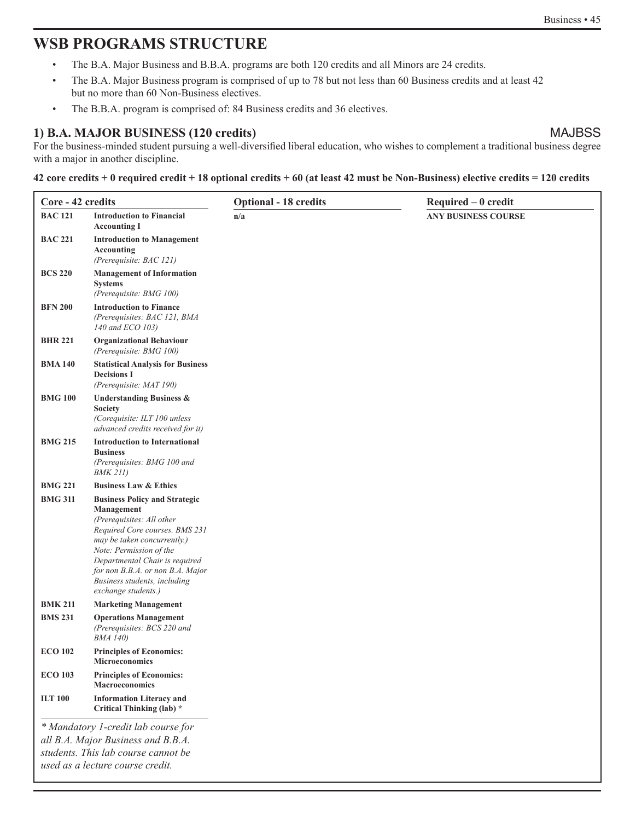## **WSB PROGRAMS STRUCTURE**

- The B.A. Major Business and B.B.A. programs are both 120 credits and all Minors are 24 credits.
- The B.A. Major Business program is comprised of up to 78 but not less than 60 Business credits and at least 42 but no more than 60 Non-Business electives.
- The B.B.A. program is comprised of: 84 Business credits and 36 electives.

## **1) B.A. MAJOR BUSINESS (120 credits)** MAJBSS

For the business-minded student pursuing a well-diversified liberal education, who wishes to complement a traditional business degree with a major in another discipline.

#### **42 core credits + 0 required credit + 18 optional credits + 60 (at least 42 must be Non-Business) elective credits = 120 credits**

| Core - 42 credits |                                                                                                                                                                                                                                                                                                          | <b>Optional - 18 credits</b> | $Required - 0 credit$      |
|-------------------|----------------------------------------------------------------------------------------------------------------------------------------------------------------------------------------------------------------------------------------------------------------------------------------------------------|------------------------------|----------------------------|
| <b>BAC 121</b>    | <b>Introduction to Financial</b><br><b>Accounting I</b>                                                                                                                                                                                                                                                  | n/a                          | <b>ANY BUSINESS COURSE</b> |
| <b>BAC 221</b>    | <b>Introduction to Management</b><br>Accounting<br>(Prerequisite: BAC 121)                                                                                                                                                                                                                               |                              |                            |
| <b>BCS 220</b>    | <b>Management of Information</b><br>Systems<br>(Prerequisite: BMG 100)                                                                                                                                                                                                                                   |                              |                            |
| <b>BFN 200</b>    | <b>Introduction to Finance</b><br>(Prerequisites: BAC 121, BMA<br>140 and ECO 103)                                                                                                                                                                                                                       |                              |                            |
| <b>BHR 221</b>    | <b>Organizational Behaviour</b><br>(Prerequisite: BMG 100)                                                                                                                                                                                                                                               |                              |                            |
| <b>BMA 140</b>    | <b>Statistical Analysis for Business</b><br><b>Decisions I</b><br>(Prerequisite: MAT 190)                                                                                                                                                                                                                |                              |                            |
| <b>BMG 100</b>    | <b>Understanding Business &amp;</b><br><b>Society</b><br>(Corequisite: ILT 100 unless<br>advanced credits received for it)                                                                                                                                                                               |                              |                            |
| <b>BMG 215</b>    | <b>Introduction to International</b><br><b>Business</b><br>(Prerequisites: BMG 100 and<br><b>BMK 211)</b>                                                                                                                                                                                                |                              |                            |
| <b>BMG 221</b>    | <b>Business Law &amp; Ethics</b>                                                                                                                                                                                                                                                                         |                              |                            |
| <b>BMG 311</b>    | <b>Business Policy and Strategic</b><br>Management<br>(Prerequisites: All other<br>Required Core courses. BMS 231<br>may be taken concurrently.)<br>Note: Permission of the<br>Departmental Chair is required<br>for non B.B.A. or non B.A. Major<br>Business students, including<br>exchange students.) |                              |                            |
| <b>BMK 211</b>    | <b>Marketing Management</b>                                                                                                                                                                                                                                                                              |                              |                            |
| <b>BMS 231</b>    | <b>Operations Management</b><br>(Prerequisites: BCS 220 and<br><i>BMA 140)</i>                                                                                                                                                                                                                           |                              |                            |
| <b>ECO 102</b>    | <b>Principles of Economics:</b><br><b>Microeconomics</b>                                                                                                                                                                                                                                                 |                              |                            |
| <b>ECO 103</b>    | <b>Principles of Economics:</b><br><b>Macroeconomics</b>                                                                                                                                                                                                                                                 |                              |                            |
| <b>ILT 100</b>    | <b>Information Literacy and</b><br>Critical Thinking (lab) *                                                                                                                                                                                                                                             |                              |                            |
|                   | * Mandatory 1-credit lab course for<br>all B.A. Major Business and B.B.A.<br>students. This lab course cannot be<br>used as a lecture course credit.                                                                                                                                                     |                              |                            |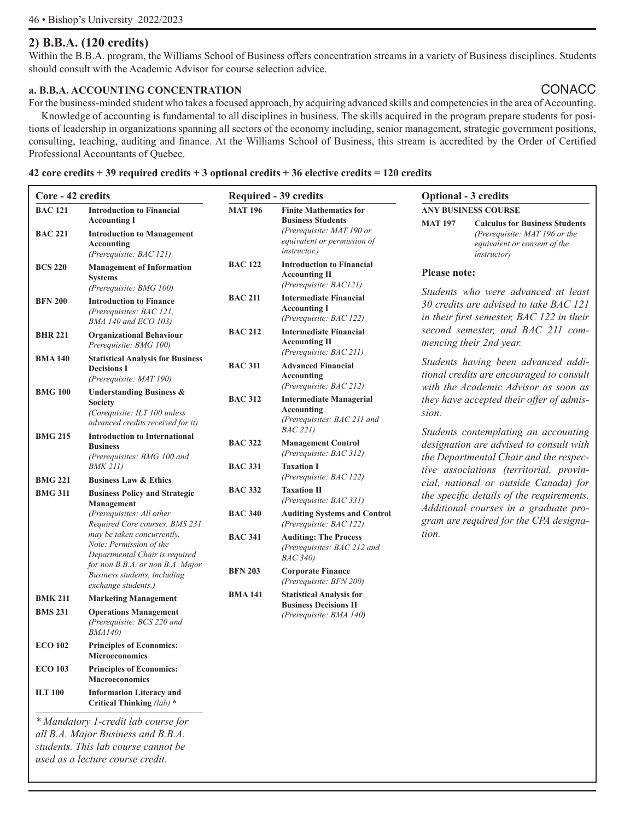## **2) B.B.A. (120 credits)**

Within the B.B.A. program, the Williams School of Business offers concentration streams in a variety of Business disciplines. Students should consult with the Academic Advisor for course selection advice.

### **a. B.B.A. ACCOUNTING CONCENTRATION** CONACC

For the business-minded student who takes a focused approach, by acquiring advanced skills and competencies in the area of Accounting. Knowledge of accounting is fundamental to all disciplines in business. The skills acquired in the program prepare students for positions of leadership in organizations spanning all sectors of the economy including, senior management, strategic government positions, consulting, teaching, auditing and finance. At the Williams School of Business, this stream is accredited by the Order of Certified Professional Accountants of Quebec.

#### **42 core credits + 39 required credits + 3 optional credits + 36 elective credits = 120 credits**

| Core - 42 credits |                                                                                                                            |                                  | Required - 39 credits                                                                                        | <b>Optional - 3 credits</b>                                                                                                                     |  |  |  |
|-------------------|----------------------------------------------------------------------------------------------------------------------------|----------------------------------|--------------------------------------------------------------------------------------------------------------|-------------------------------------------------------------------------------------------------------------------------------------------------|--|--|--|
| <b>BAC 121</b>    | <b>Introduction to Financial</b>                                                                                           | <b>MAT 196</b>                   | <b>Finite Mathematics for</b>                                                                                | <b>ANY BUSINESS COURSE</b>                                                                                                                      |  |  |  |
| <b>BAC 221</b>    | <b>Accounting I</b><br><b>Introduction to Management</b><br>Accounting<br>(Prerequisite: BAC 121)                          |                                  | <b>Business Students</b><br>(Prerequisite: MAT 190 or<br>equivalent or permission of<br><i>instructor.</i> ) | <b>MAT 197</b><br><b>Calculus for Business Students</b><br>(Prerequisite: MAT 196 or the<br>equivalent or consent of the<br><i>instructor</i> ) |  |  |  |
| <b>BCS 220</b>    | <b>Management of Information</b><br><b>Systems</b><br>(Prerequisite: BMG 100)                                              | <b>BAC 122</b>                   | <b>Introduction to Financial</b><br><b>Accounting II</b><br>(Prerequisite: BAC121)                           | <b>Please note:</b>                                                                                                                             |  |  |  |
| <b>BFN 200</b>    | <b>Introduction to Finance</b><br>(Prerequisites: BAC 121,<br>BMA 140 and ECO 103)                                         | <b>BAC 211</b>                   | <b>Intermediate Financial</b><br><b>Accounting I</b><br>(Prerequisite: BAC 122)                              | Students who were advanced at least<br>30 credits are advised to take BAC 121<br>in their first semester, BAC 122 in their                      |  |  |  |
| <b>BHR 221</b>    | <b>Organizational Behaviour</b><br>Prerequisite: BMG 100)                                                                  | <b>BAC 212</b>                   | <b>Intermediate Financial</b><br><b>Accounting II</b>                                                        | second semester, and BAC 211 com-<br>mencing their 2nd year.                                                                                    |  |  |  |
| <b>BMA140</b>     | <b>Statistical Analysis for Business</b><br><b>Decisions I</b><br>(Prerequisite: MAT 190)                                  | <b>BAC 311</b>                   | (Prerequisite: BAC 211)<br><b>Advanced Financial</b><br>Accounting<br>(Prerequisite: BAC 212)                | Students having been advanced addi-<br>tional credits are encouraged to consult<br>with the Academic Advisor as soon as                         |  |  |  |
| <b>BMG 100</b>    | <b>Understanding Business &amp;</b><br><b>Society</b><br>(Corequisite: ILT 100 unless<br>advanced credits received for it) | <b>BAC 312</b>                   | <b>Intermediate Managerial</b><br>Accounting<br>(Prerequisites: BAC 211 and                                  | they have accepted their offer of admis-<br>sion.                                                                                               |  |  |  |
| <b>BMG 215</b>    | <b>Introduction to International</b><br><b>Business</b><br>(Prerequisites: BMG 100 and<br><b>BMK 211)</b>                  | <b>BAC 322</b><br><b>BAC 331</b> | <i>BAC 221)</i><br><b>Management Control</b><br>(Prerequisite: BAC 312)<br><b>Taxation I</b>                 | Students contemplating an accounting<br>designation are advised to consult with<br>the Departmental Chair and the respec-                       |  |  |  |
| <b>BMG 221</b>    | <b>Business Law &amp; Ethics</b>                                                                                           |                                  | (Prerequisite: BAC 122)                                                                                      | tive associations (territorial, provin-<br>cial, national or outside Canada) for                                                                |  |  |  |
| <b>BMG 311</b>    | <b>Business Policy and Strategic</b><br>Management                                                                         | <b>BAC 332</b>                   | <b>Taxation II</b><br>(Prerequisite: BAC 331)                                                                | the specific details of the requirements.<br>Additional courses in a graduate pro-                                                              |  |  |  |
|                   | (Prerequisites: All other<br>Required Core courses. BMS 231                                                                | <b>BAC 340</b>                   | <b>Auditing Systems and Control</b><br>(Prerequisite: BAC 122)                                               | gram are required for the CPA designa-                                                                                                          |  |  |  |
|                   | may be taken concurrently.<br>Note: Permission of the<br>Departmental Chair is required                                    | <b>BAC 341</b>                   | <b>Auditing: The Process</b><br>(Prerequisites: BAC 212 and<br><i>BAC</i> 340)                               | tion.                                                                                                                                           |  |  |  |
|                   | for non B.B.A. or non B.A. Major<br>Business students, including<br>exchange students.)                                    | <b>BFN 203</b>                   | <b>Corporate Finance</b><br>(Prerequisite: BFN 200)                                                          |                                                                                                                                                 |  |  |  |
| <b>BMK 211</b>    | <b>Marketing Management</b>                                                                                                | <b>BMA141</b>                    | <b>Statistical Analysis for</b>                                                                              |                                                                                                                                                 |  |  |  |
| <b>BMS 231</b>    | <b>Operations Management</b><br>(Prerequisite: BCS 220 and<br><i>BMA140</i> )                                              |                                  | <b>Business Decisions II</b><br>(Prerequisite: BMA 140)                                                      |                                                                                                                                                 |  |  |  |
| <b>ECO 102</b>    | <b>Principles of Economics:</b><br><b>Microeconomics</b>                                                                   |                                  |                                                                                                              |                                                                                                                                                 |  |  |  |
| <b>ECO 103</b>    | <b>Principles of Economics:</b><br><b>Macroeconomics</b>                                                                   |                                  |                                                                                                              |                                                                                                                                                 |  |  |  |
| <b>ILT 100</b>    | <b>Information Literacy and</b><br>Critical Thinking $(lab)^*$                                                             |                                  |                                                                                                              |                                                                                                                                                 |  |  |  |
|                   | $*$ Mandatam, Langdit lab equippe for                                                                                      |                                  |                                                                                                              |                                                                                                                                                 |  |  |  |

*\* Mandatory 1-credit lab course for all B.A. Major Business and B.B.A. students. This lab course cannot be used as a lecture course credit.*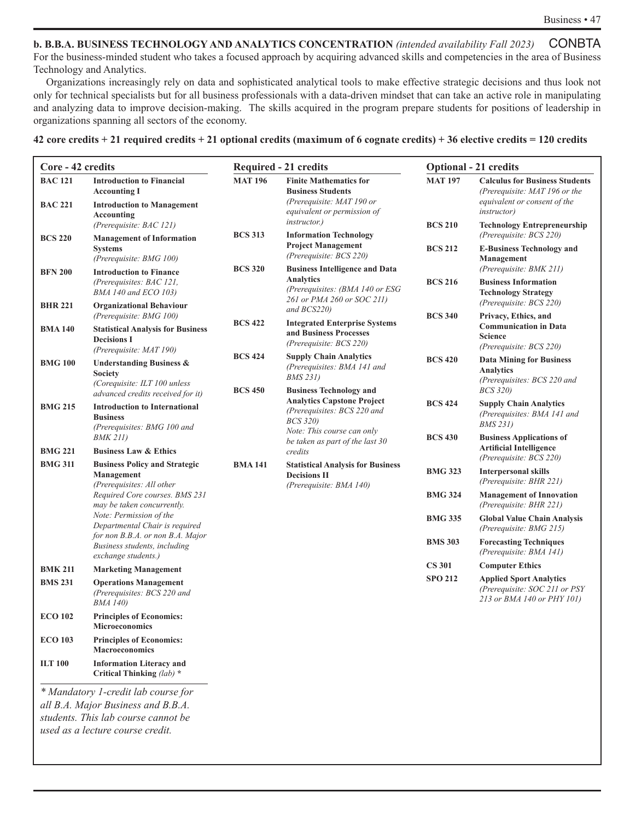**b. B.B.A. BUSINESS TECHNOLOGY AND ANALYTICS CONCENTRATION** *(intended availability Fall 2023)* CONBTA For the business-minded student who takes a focused approach by acquiring advanced skills and competencies in the area of Business Technology and Analytics.

Organizations increasingly rely on data and sophisticated analytical tools to make effective strategic decisions and thus look not only for technical specialists but for all business professionals with a data-driven mindset that can take an active role in manipulating and analyzing data to improve decision-making. The skills acquired in the program prepare students for positions of leadership in organizations spanning all sectors of the economy.

#### **42 core credits + 21 required credits + 21 optional credits (maximum of 6 cognate credits) + 36 elective credits = 120 credits**

|                                                            | <b>Required - 21 credits</b>                                                                                          | <b>Optional - 21 credits</b> |                                                                                                                               |  |
|------------------------------------------------------------|-----------------------------------------------------------------------------------------------------------------------|------------------------------|-------------------------------------------------------------------------------------------------------------------------------|--|
| <b>MAT 196</b>                                             | <b>Finite Mathematics for</b><br><b>Business Students</b><br>(Prerequisite: MAT 190 or<br>equivalent or permission of | <b>MAT 197</b>               | <b>Calculus for Business Students</b><br>(Prerequisite: MAT 196 or the<br>equivalent or consent of the<br><i>instructor</i> ) |  |
| <b>BCS 313</b>                                             | <i>instructor.)</i><br><b>Information Technology</b>                                                                  | <b>BCS 210</b>               | <b>Technology Entrepreneurship</b><br>(Prerequisite: BCS 220)                                                                 |  |
|                                                            | <b>Project Management</b><br>(Prerequisite: BCS 220)                                                                  | <b>BCS 212</b>               | <b>E-Business Technology and</b><br>Management                                                                                |  |
| <b>BCS 320</b>                                             | <b>Business Intelligence and Data</b><br><b>Analytics</b><br>(Prerequisites: $(BMA 140$ or ESG                        | <b>BCS 216</b>               | (Prerequisite: BMK 211)<br><b>Business Information</b><br><b>Technology Strategy</b>                                          |  |
|                                                            | 261 or PMA 260 or SOC 211)<br>and BCS220)                                                                             | <b>BCS 340</b>               | (Prerequisite: BCS 220)<br>Privacy, Ethics, and                                                                               |  |
| <b>BCS 422</b><br><b>Statistical Analysis for Business</b> | <b>Integrated Enterprise Systems</b><br>and Business Processes<br>(Prerequisite: BCS 220)                             |                              | <b>Communication in Data</b><br><b>Science</b><br>(Prerequisite: BCS 220)                                                     |  |
| <b>BCS 424</b><br><b>BCS 450</b>                           | <b>Supply Chain Analytics</b><br>(Prerequisites: BMA 141 and<br><i>BMS</i> 231)<br><b>Business Technology and</b>     | <b>BCS 420</b>               | <b>Data Mining for Business</b><br><b>Analytics</b><br>(Prerequisites: BCS 220 and<br><i>BCS 320)</i>                         |  |
|                                                            | <b>Analytics Capstone Project</b><br>(Prerequisites: BCS 220 and<br><b>BCS 320)</b><br>Note: This course can only     | <b>BCS 424</b>               | <b>Supply Chain Analytics</b><br>(Prerequisites: BMA 141 and<br><i>BMS</i> 231)                                               |  |
|                                                            | be taken as part of the last 30<br>credits                                                                            | <b>BCS 430</b>               | <b>Business Applications of</b><br><b>Artificial Intelligence</b><br>(Prerequisite: BCS 220)                                  |  |
| <b>BMA141</b>                                              | <b>Statistical Analysis for Business</b><br><b>Decisions II</b>                                                       | <b>BMG 323</b>               | <b>Interpersonal skills</b><br>(Prerequisite: BHR 221)                                                                        |  |
| Required Core courses. BMS 231                             | (Prerequisite: BMA 140)                                                                                               | <b>BMG 324</b>               | <b>Management of Innovation</b><br>(Prerequisite: BHR 221)                                                                    |  |
|                                                            |                                                                                                                       | <b>BMG 335</b>               | <b>Global Value Chain Analysis</b><br>(Prerequisite: BMG 215)                                                                 |  |
| for non B.B.A. or non B.A. Major                           |                                                                                                                       | <b>BMS 303</b>               | <b>Forecasting Techniques</b><br>(Prerequisite: BMA 141)                                                                      |  |
|                                                            |                                                                                                                       | <b>CS 301</b>                | <b>Computer Ethics</b>                                                                                                        |  |
|                                                            |                                                                                                                       | <b>SPO 212</b>               | <b>Applied Sport Analytics</b><br>(Prerequisite: SOC 211 or PSY<br>213 or BMA 140 or PHY 101)                                 |  |
|                                                            |                                                                                                                       |                              |                                                                                                                               |  |
|                                                            |                                                                                                                       |                              |                                                                                                                               |  |
|                                                            |                                                                                                                       |                              |                                                                                                                               |  |
|                                                            |                                                                                                                       |                              |                                                                                                                               |  |

*students. This lab course cannot be used as a lecture course credit.*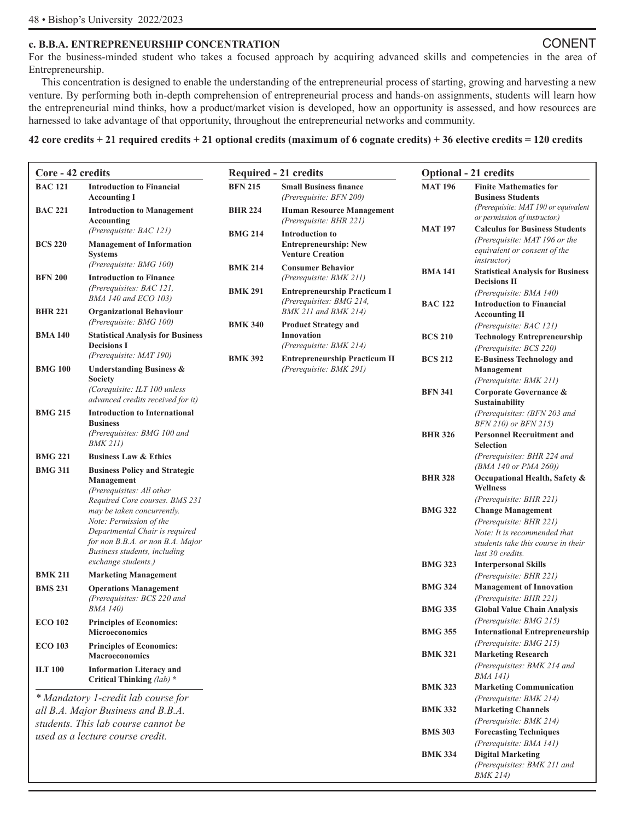#### **c. B.B.A. ENTREPRENEURSHIP CONCENTRATION** CONENT

For the business-minded student who takes a focused approach by acquiring advanced skills and competencies in the area of Entrepreneurship.

This concentration is designed to enable the understanding of the entrepreneurial process of starting, growing and harvesting a new venture. By performing both in-depth comprehension of entrepreneurial process and hands-on assignments, students will learn how the entrepreneurial mind thinks, how a product/market vision is developed, how an opportunity is assessed, and how resources are harnessed to take advantage of that opportunity, throughout the entrepreneurial networks and community.

#### **42 core credits + 21 required credits + 21 optional credits (maximum of 6 cognate credits) + 36 elective credits = 120 credits**

| Core - 42 credits |                                                                                                                                                                                    |                                  | <b>Required - 21 credits</b>                                                               | <b>Optional - 21 credits</b> |                                                                                                                                               |  |
|-------------------|------------------------------------------------------------------------------------------------------------------------------------------------------------------------------------|----------------------------------|--------------------------------------------------------------------------------------------|------------------------------|-----------------------------------------------------------------------------------------------------------------------------------------------|--|
| <b>BAC 121</b>    | <b>Introduction to Financial</b><br><b>Accounting I</b>                                                                                                                            | <b>BFN 215</b>                   | <b>Small Business finance</b><br>(Prerequisite: BFN 200)                                   | <b>MAT 196</b>               | <b>Finite Mathematics for</b><br><b>Business Students</b>                                                                                     |  |
| <b>BAC 221</b>    | <b>Introduction to Management</b><br>Accounting<br>(Prerequisite: BAC 121)                                                                                                         | <b>BHR 224</b><br><b>BMG 214</b> | <b>Human Resource Management</b><br>(Prerequisite: BHR 221)<br><b>Introduction to</b>      | <b>MAT 197</b>               | (Prerequisite: MAT 190 or equivalent)<br>or permission of instructor.)<br><b>Calculus for Business Students</b>                               |  |
| <b>BCS 220</b>    | <b>Management of Information</b><br><b>Systems</b><br>(Prerequisite: BMG 100)                                                                                                      |                                  | <b>Entrepreneurship: New</b><br><b>Venture Creation</b>                                    |                              | (Prerequisite: MAT 196 or the<br>equivalent or consent of the<br><i>instructor</i> )                                                          |  |
| <b>BFN 200</b>    | <b>Introduction to Finance</b><br>(Prerequisites: BAC 121,                                                                                                                         | <b>BMK 214</b><br><b>BMK 291</b> | <b>Consumer Behavior</b><br>(Prerequisite: BMK 211)<br><b>Entrepreneurship Practicum I</b> | <b>BMA 141</b>               | <b>Statistical Analysis for Business</b><br><b>Decisions II</b>                                                                               |  |
| <b>BHR 221</b>    | BMA 140 and ECO 103)<br><b>Organizational Behaviour</b>                                                                                                                            |                                  | (Prerequisites: BMG 214,<br><b>BMK 211 and BMK 214)</b>                                    | <b>BAC 122</b>               | (Prerequisite: BMA 140)<br><b>Introduction to Financial</b><br><b>Accounting II</b>                                                           |  |
| <b>BMA 140</b>    | (Prerequisite: BMG 100)<br><b>Statistical Analysis for Business</b>                                                                                                                | <b>BMK 340</b>                   | <b>Product Strategy and</b><br>Innovation                                                  | <b>BCS 210</b>               | (Prerequisite: BAC 121)<br><b>Technology Entrepreneurship</b>                                                                                 |  |
| <b>BMG 100</b>    | <b>Decisions I</b><br>(Prerequisite: MAT 190)                                                                                                                                      | <b>BMK 392</b>                   | (Prerequisite: BMK 214)<br><b>Entrepreneurship Practicum II</b>                            | <b>BCS 212</b>               | (Prerequisite: BCS 220)<br><b>E-Business Technology and</b>                                                                                   |  |
|                   | <b>Understanding Business &amp;</b><br>Society<br>(Corequisite: ILT 100 unless<br>advanced credits received for it)                                                                |                                  | (Prerequisite: BMK 291)                                                                    | <b>BFN 341</b>               | <b>Management</b><br>(Prerequisite: BMK 211)<br>Corporate Governance &<br><b>Sustainability</b>                                               |  |
| <b>BMG 215</b>    | <b>Introduction to International</b><br><b>Business</b><br>(Prerequisites: BMG 100 and                                                                                             |                                  |                                                                                            | <b>BHR 326</b>               | (Prerequisites: (BFN 203 and<br>BFN 210) or BFN 215)<br><b>Personnel Recruitment and</b>                                                      |  |
| <b>BMG 221</b>    | <b>BMK 211)</b><br><b>Business Law &amp; Ethics</b>                                                                                                                                |                                  |                                                                                            |                              | <b>Selection</b><br>(Prerequisites: BHR 224 and                                                                                               |  |
| <b>BMG 311</b>    | <b>Business Policy and Strategic</b>                                                                                                                                               |                                  |                                                                                            |                              | <i>(BMA 140 or PMA 260))</i>                                                                                                                  |  |
|                   | Management<br>(Prerequisites: All other<br>Required Core courses. BMS 231                                                                                                          |                                  |                                                                                            | <b>BHR 328</b>               | Occupational Health, Safety &<br><b>Wellness</b><br>(Prerequisite: BHR 221)                                                                   |  |
|                   | may be taken concurrently.<br>Note: Permission of the<br>Departmental Chair is required<br>for non B.B.A. or non B.A. Major<br>Business students, including<br>exchange students.) |                                  |                                                                                            | <b>BMG 322</b>               | <b>Change Management</b><br>(Prerequisite: BHR 221)<br>Note: It is recommended that<br>students take this course in their<br>last 30 credits. |  |
| <b>BMK 211</b>    | <b>Marketing Management</b>                                                                                                                                                        |                                  |                                                                                            | <b>BMG 323</b>               | <b>Interpersonal Skills</b><br>(Prerequisite: BHR 221)                                                                                        |  |
| <b>BMS 231</b>    | <b>Operations Management</b><br>(Prerequisites: BCS 220 and                                                                                                                        |                                  |                                                                                            | <b>BMG 324</b>               | <b>Management of Innovation</b><br>(Prerequisite: BHR 221)                                                                                    |  |
| <b>ECO 102</b>    | <b>BMA 140</b> )<br><b>Principles of Economics:</b>                                                                                                                                |                                  |                                                                                            | <b>BMG 335</b>               | <b>Global Value Chain Analysis</b><br>(Prerequisite: BMG 215)                                                                                 |  |
| <b>ECO 103</b>    | <b>Microeconomics</b><br><b>Principles of Economics:</b>                                                                                                                           |                                  |                                                                                            | <b>BMG 355</b>               | <b>International Entrepreneurship</b><br>(Prerequisite: BMG 215)                                                                              |  |
|                   | <b>Macroeconomics</b>                                                                                                                                                              |                                  |                                                                                            | <b>BMK 321</b>               | <b>Marketing Research</b><br>(Prerequisites: BMK 214 and                                                                                      |  |
| <b>ILT 100</b>    | <b>Information Literacy and</b><br>Critical Thinking (lab) *                                                                                                                       |                                  |                                                                                            |                              | BMA 141)                                                                                                                                      |  |
|                   | * Mandatory 1-credit lab course for                                                                                                                                                |                                  |                                                                                            | <b>BMK 323</b>               | <b>Marketing Communication</b><br>(Prerequisite: BMK 214)                                                                                     |  |
|                   | all B.A. Major Business and B.B.A.                                                                                                                                                 |                                  |                                                                                            | <b>BMK 332</b>               | <b>Marketing Channels</b><br>(Prerequisite: BMK 214)                                                                                          |  |
|                   | students. This lab course cannot be<br>used as a lecture course credit.                                                                                                            |                                  |                                                                                            | <b>BMS 303</b>               | <b>Forecasting Techniques</b>                                                                                                                 |  |
|                   |                                                                                                                                                                                    |                                  |                                                                                            | <b>BMK 334</b>               | (Prerequisite: BMA 141)<br><b>Digital Marketing</b><br>(Prerequisites: BMK 211 and<br><i>BMK 214)</i>                                         |  |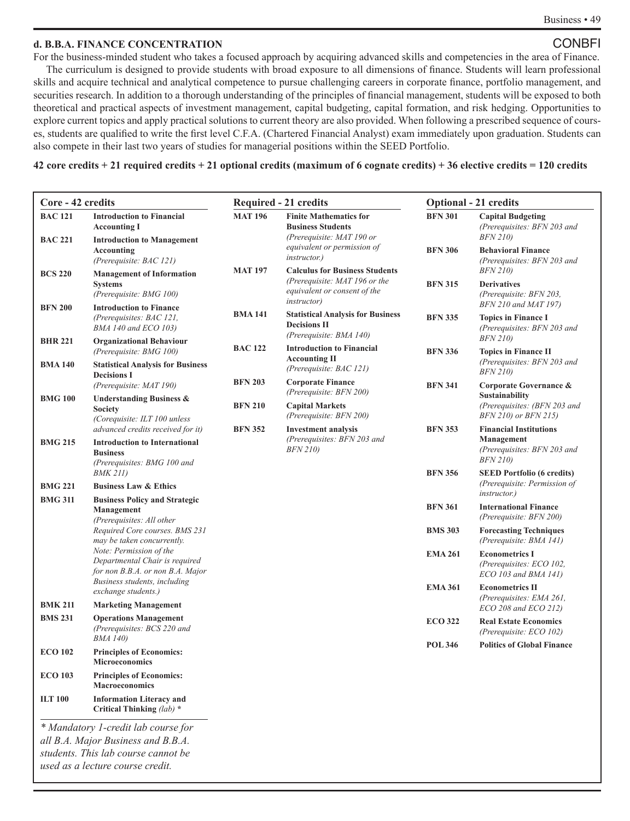#### **d. B.B.A. FINANCE CONCENTRATION** CONBFI

For the business-minded student who takes a focused approach by acquiring advanced skills and competencies in the area of Finance. The curriculum is designed to provide students with broad exposure to all dimensions of finance. Students will learn professional skills and acquire technical and analytical competence to pursue challenging careers in corporate finance, portfolio management, and securities research. In addition to a thorough understanding of the principles of financial management, students will be exposed to both theoretical and practical aspects of investment management, capital budgeting, capital formation, and risk hedging. Opportunities to explore current topics and apply practical solutions to current theory are also provided. When following a prescribed sequence of courses, students are qualified to write the first level C.F.A. (Chartered Financial Analyst) exam immediately upon graduation. Students can also compete in their last two years of studies for managerial positions within the SEED Portfolio.

**42 core credits + 21 required credits + 21 optional credits (maximum of 6 cognate credits) + 36 elective credits = 120 credits** 

| Core - 42 credits                |                                                                                                                             | <b>Required - 21 credits</b> |                                                                                                                               | <b>Optional - 21 credits</b> |                                                                                               |  |
|----------------------------------|-----------------------------------------------------------------------------------------------------------------------------|------------------------------|-------------------------------------------------------------------------------------------------------------------------------|------------------------------|-----------------------------------------------------------------------------------------------|--|
| <b>BAC 121</b><br><b>BAC 221</b> | <b>Introduction to Financial</b><br><b>Accounting I</b><br><b>Introduction to Management</b>                                | <b>MAT 196</b>               | <b>Finite Mathematics for</b><br><b>Business Students</b><br>(Prerequisite: MAT 190 or                                        | <b>BFN 301</b>               | <b>Capital Budgeting</b><br>(Prerequisites: BFN 203 and<br><i>BFN 210</i> )                   |  |
|                                  | Accounting<br>(Prerequisite: BAC 121)                                                                                       |                              | equivalent or permission of<br><i>instructor.</i> )                                                                           | <b>BFN 306</b>               | <b>Behavioral Finance</b><br>(Prerequisites: BFN 203 and                                      |  |
| <b>BCS 220</b>                   | <b>Management of Information</b><br><b>Systems</b><br>(Prerequisite: BMG 100)                                               | <b>MAT 197</b>               | <b>Calculus for Business Students</b><br>(Prerequisite: MAT 196 or the<br>equivalent or consent of the<br><i>instructor</i> ) | <b>BFN 315</b>               | <i>BFN 210)</i><br><b>Derivatives</b><br>(Prerequisite: BFN 203,                              |  |
| <b>BFN 200</b>                   | <b>Introduction to Finance</b><br>(Prerequisites: BAC 121,<br>BMA 140 and ECO 103)                                          | <b>BMA141</b>                | <b>Statistical Analysis for Business</b><br><b>Decisions II</b><br>(Prerequisite: BMA 140)                                    | <b>BFN 335</b>               | BFN 210 and MAT 197)<br><b>Topics in Finance I</b><br>(Prerequisites: BFN 203 and             |  |
| <b>BHR 221</b>                   | <b>Organizational Behaviour</b><br>(Prerequisite: BMG 100)                                                                  | <b>BAC 122</b>               | <b>Introduction to Financial</b>                                                                                              | <b>BFN 336</b>               | <b>BFN 210)</b><br><b>Topics in Finance II</b>                                                |  |
| <b>BMA 140</b>                   | <b>Statistical Analysis for Business</b><br><b>Decisions I</b>                                                              |                              | <b>Accounting II</b><br>(Prerequisite: BAC 121)                                                                               |                              | (Prerequisites: BFN 203 and<br><b>BFN 210)</b>                                                |  |
|                                  | (Prerequisite: MAT 190)                                                                                                     | <b>BFN 203</b>               | <b>Corporate Finance</b><br>(Prerequisite: BFN 200)                                                                           | <b>BFN 341</b>               | Corporate Governance &<br><b>Sustainability</b>                                               |  |
| <b>BMG 100</b>                   | <b>Understanding Business &amp;</b><br><b>Society</b><br>(Corequisite: ILT 100 unless                                       | <b>BFN 210</b>               | <b>Capital Markets</b><br>(Prerequisite: BFN 200)                                                                             |                              | (Prerequisites: (BFN 203 and<br>BFN 210) or BFN 215)                                          |  |
| <b>BMG 215</b>                   | advanced credits received for it)<br><b>Introduction to International</b><br><b>Business</b><br>(Prerequisites: BMG 100 and | <b>BFN 352</b>               | <b>Investment analysis</b><br>(Prerequisites: BFN 203 and<br><i>BFN 210)</i>                                                  | <b>BFN 353</b>               | <b>Financial Institutions</b><br>Management<br>(Prerequisites: BFN 203 and<br><i>BFN 210)</i> |  |
| <b>BMG 221</b>                   | <i>BMK 211)</i><br><b>Business Law &amp; Ethics</b>                                                                         |                              |                                                                                                                               | <b>BFN 356</b>               | <b>SEED Portfolio (6 credits)</b><br>(Prerequisite: Permission of                             |  |
| <b>BMG 311</b>                   | <b>Business Policy and Strategic</b><br>Management                                                                          |                              |                                                                                                                               | <b>BFN 361</b>               | <i>instructor.</i> )<br><b>International Finance</b><br>(Prerequisite: BFN 200)               |  |
|                                  | (Prerequisites: All other<br>Required Core courses. BMS 231<br>may be taken concurrently.                                   |                              |                                                                                                                               | <b>BMS 303</b>               | <b>Forecasting Techniques</b><br>(Prerequisite: BMA 141)                                      |  |
|                                  | Note: Permission of the<br>Departmental Chair is required<br>for non B.B.A. or non B.A. Major                               |                              |                                                                                                                               | <b>EMA 261</b>               | <b>Econometrics I</b><br>(Prerequisites: ECO 102,<br>ECO 103 and BMA 141)                     |  |
| <b>BMK 211</b>                   | Business students, including<br>exchange students.)<br><b>Marketing Management</b>                                          |                              |                                                                                                                               | <b>EMA 361</b>               | <b>Econometrics II</b><br>(Prerequisites: EMA 261,<br>ECO 208 and ECO 212)                    |  |
| <b>BMS 231</b>                   | <b>Operations Management</b><br>(Prerequisites: BCS 220 and                                                                 |                              |                                                                                                                               | <b>ECO 322</b>               | <b>Real Estate Economics</b><br>(Prerequisite: ECO 102)                                       |  |
| <b>ECO 102</b>                   | <i>BMA 140)</i><br><b>Principles of Economics:</b><br><b>Microeconomics</b>                                                 |                              |                                                                                                                               | <b>POL 346</b>               | <b>Politics of Global Finance</b>                                                             |  |
| <b>ECO 103</b>                   | <b>Principles of Economics:</b><br><b>Macroeconomics</b>                                                                    |                              |                                                                                                                               |                              |                                                                                               |  |
| <b>ILT 100</b>                   | <b>Information Literacy and</b><br>Critical Thinking (lab) *                                                                |                              |                                                                                                                               |                              |                                                                                               |  |

*\* Mandatory 1-credit lab course for all B.A. Major Business and B.B.A. students. This lab course cannot be used as a lecture course credit.*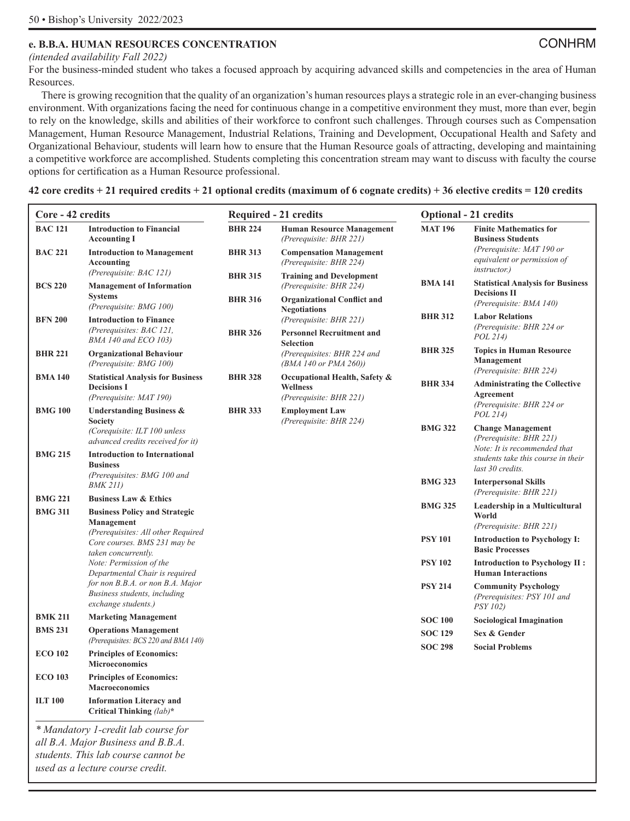## **e. B.B.A. HUMAN RESOURCES CONCENTRATION** CONHRM

*(intended availability Fall 2022)*

For the business-minded student who takes a focused approach by acquiring advanced skills and competencies in the area of Human Resources.

There is growing recognition that the quality of an organization's human resources plays a strategic role in an ever-changing business environment. With organizations facing the need for continuous change in a competitive environment they must, more than ever, begin to rely on the knowledge, skills and abilities of their workforce to confront such challenges. Through courses such as Compensation Management, Human Resource Management, Industrial Relations, Training and Development, Occupational Health and Safety and Organizational Behaviour, students will learn how to ensure that the Human Resource goals of attracting, developing and maintaining a competitive workforce are accomplished. Students completing this concentration stream may want to discuss with faculty the course options for certification as a Human Resource professional.

**42 core credits + 21 required credits + 21 optional credits (maximum of 6 cognate credits) + 36 elective credits = 120 credits** 

| Core - 42 credits |                                                                                           |                                  | <b>Required - 21 credits</b>                                                                     | <b>Optional - 21 credits</b> |                                                                                     |  |
|-------------------|-------------------------------------------------------------------------------------------|----------------------------------|--------------------------------------------------------------------------------------------------|------------------------------|-------------------------------------------------------------------------------------|--|
| <b>BAC 121</b>    | <b>Introduction to Financial</b><br><b>Accounting I</b>                                   | <b>BHR 224</b>                   | <b>Human Resource Management</b><br>(Prerequisite: BHR 221)                                      | <b>MAT 196</b>               | <b>Finite Mathematics for</b><br><b>Business Students</b>                           |  |
| <b>BAC 221</b>    | <b>Introduction to Management</b><br><b>Accounting</b>                                    | <b>BHR 313</b>                   | <b>Compensation Management</b><br>(Prerequisite: BHR 224)                                        |                              | (Prerequisite: MAT 190 or<br>equivalent or permission of<br><i>instructor.</i> )    |  |
| <b>BCS 220</b>    | (Prerequisite: BAC 121)<br><b>Management of Information</b><br><b>Systems</b>             | <b>BHR 315</b><br><b>BHR 316</b> | <b>Training and Development</b><br>(Prerequisite: BHR 224)<br><b>Organizational Conflict and</b> | <b>BMA 141</b>               | <b>Statistical Analysis for Business</b><br><b>Decisions II</b>                     |  |
|                   | (Prerequisite: BMG 100)                                                                   |                                  | <b>Negotiations</b>                                                                              | <b>BHR 312</b>               | (Prerequisite: BMA 140)<br><b>Labor Relations</b>                                   |  |
| <b>BFN 200</b>    | <b>Introduction to Finance</b><br>(Prerequisites: BAC 121,<br>BMA 140 and ECO 103)        | <b>BHR 326</b>                   | (Prerequisite: BHR 221)<br><b>Personnel Recruitment and</b>                                      |                              | (Prerequisite: BHR 224 or<br>POL 214)                                               |  |
| <b>BHR 221</b>    | <b>Organizational Behaviour</b><br>(Prerequisite: BMG 100)                                |                                  | Selection<br>(Prerequisites: BHR 224 and<br>(BMA 140 or PMA 260))                                | <b>BHR 325</b>               | <b>Topics in Human Resource</b><br>Management                                       |  |
| <b>BMA 140</b>    | <b>Statistical Analysis for Business</b><br><b>Decisions I</b><br>(Prerequisite: MAT 190) | <b>BHR 328</b>                   | Occupational Health, Safety &<br><b>Wellness</b><br>(Prerequisite: BHR 221)                      | <b>BHR 334</b>               | (Prerequisite: BHR 224)<br><b>Administrating the Collective</b><br>Agreement        |  |
| <b>BMG 100</b>    | <b>Understanding Business &amp;</b>                                                       | <b>BHR 333</b>                   | <b>Employment Law</b>                                                                            |                              | (Prerequisite: BHR 224 or<br>POL 214)                                               |  |
|                   | <b>Society</b><br>(Corequisite: ILT 100 unless<br>advanced credits received for it)       |                                  | (Prerequisite: BHR 224)                                                                          | <b>BMG 322</b>               | <b>Change Management</b><br>(Prerequisite: BHR 221)<br>Note: It is recommended that |  |
| <b>BMG 215</b>    | <b>Introduction to International</b><br><b>Business</b>                                   |                                  |                                                                                                  |                              | students take this course in their<br>last 30 credits.                              |  |
|                   | (Prerequisites: BMG 100 and<br><i>BMK 211)</i>                                            |                                  |                                                                                                  | <b>BMG 323</b>               | <b>Interpersonal Skills</b><br>(Prerequisite: BHR 221)                              |  |
| <b>BMG 221</b>    | <b>Business Law &amp; Ethics</b>                                                          |                                  |                                                                                                  | <b>BMG 325</b>               | Leadership in a Multicultural                                                       |  |
| <b>BMG 311</b>    | <b>Business Policy and Strategic</b><br>Management<br>(Prerequisites: All other Required  |                                  |                                                                                                  |                              | World<br>(Prerequisite: BHR 221)                                                    |  |
|                   | Core courses. BMS 231 may be<br>taken concurrently.                                       |                                  |                                                                                                  | <b>PSY 101</b>               | <b>Introduction to Psychology I:</b><br><b>Basic Processes</b>                      |  |
|                   | Note: Permission of the<br>Departmental Chair is required                                 |                                  |                                                                                                  | <b>PSY 102</b>               | <b>Introduction to Psychology II:</b><br><b>Human Interactions</b>                  |  |
|                   | for non B.B.A. or non B.A. Major<br>Business students, including<br>exchange students.)   |                                  |                                                                                                  | <b>PSY 214</b>               | <b>Community Psychology</b><br>(Prerequisites: PSY 101 and<br><i>PSY 102)</i>       |  |
| <b>BMK 211</b>    | <b>Marketing Management</b>                                                               |                                  |                                                                                                  | <b>SOC 100</b>               | <b>Sociological Imagination</b>                                                     |  |
| <b>BMS 231</b>    | <b>Operations Management</b><br>(Prerequisites: BCS 220 and BMA 140)                      |                                  |                                                                                                  | <b>SOC 129</b>               | Sex & Gender                                                                        |  |
| <b>ECO 102</b>    | <b>Principles of Economics:</b><br><b>Microeconomics</b>                                  |                                  |                                                                                                  | <b>SOC 298</b>               | <b>Social Problems</b>                                                              |  |
| <b>ECO 103</b>    | <b>Principles of Economics:</b><br><b>Macroeconomics</b>                                  |                                  |                                                                                                  |                              |                                                                                     |  |
| <b>ILT 100</b>    | <b>Information Literacy and</b><br>Critical Thinking (lab)*                               |                                  |                                                                                                  |                              |                                                                                     |  |
|                   | * Mandatory 1-credit lab course for                                                       |                                  |                                                                                                  |                              |                                                                                     |  |
|                   | all B.A. Major Business and B.B.A.                                                        |                                  |                                                                                                  |                              |                                                                                     |  |
|                   | students. This lab course cannot be                                                       |                                  |                                                                                                  |                              |                                                                                     |  |

*used as a lecture course credit.*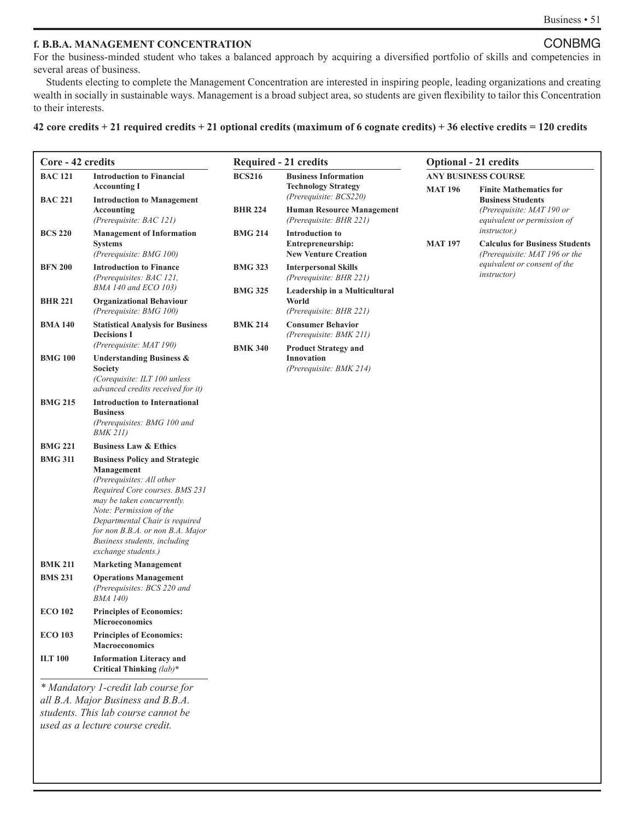#### **f. B.B.A. MANAGEMENT CONCENTRATION** CONBMG

For the business-minded student who takes a balanced approach by acquiring a diversified portfolio of skills and competencies in several areas of business.

Students electing to complete the Management Concentration are interested in inspiring people, leading organizations and creating wealth in socially in sustainable ways. Management is a broad subject area, so students are given flexibility to tailor this Concentration to their interests.

#### **42 core credits + 21 required credits + 21 optional credits (maximum of 6 cognate credits) + 36 elective credits = 120 credits**

| Core - 42 credits                                  |                                                                    |                | <b>Required - 21 credits</b>                           | <b>Optional - 21 credits</b> |                                                               |  |  |
|----------------------------------------------------|--------------------------------------------------------------------|----------------|--------------------------------------------------------|------------------------------|---------------------------------------------------------------|--|--|
| <b>BAC 121</b><br><b>Introduction to Financial</b> |                                                                    | <b>BCS216</b>  | <b>Business Information</b>                            | <b>ANY BUSINESS COURSE</b>   |                                                               |  |  |
|                                                    | <b>Accounting I</b>                                                |                | <b>Technology Strategy</b><br>(Prerequisite: BCS220)   | <b>MAT 196</b>               | <b>Finite Mathematics for</b>                                 |  |  |
| <b>BAC 221</b>                                     | <b>Introduction to Management</b><br>Accounting                    | <b>BHR 224</b> | <b>Human Resource Management</b>                       |                              | <b>Business Students</b><br>(Prerequisite: MAT 190 or         |  |  |
|                                                    | (Prerequisite: BAC 121)                                            |                | (Prerequisite: BHR 221)                                |                              | equivalent or permission of                                   |  |  |
| <b>BCS 220</b>                                     | <b>Management of Information</b>                                   | <b>BMG 214</b> | <b>Introduction to</b>                                 | <b>MAT 197</b>               | <i>instructor.</i> )<br><b>Calculus for Business Students</b> |  |  |
|                                                    | <b>Systems</b><br>(Prerequisite: BMG 100)                          |                | Entrepreneurship:<br><b>New Venture Creation</b>       |                              | (Prerequisite: MAT 196 or the                                 |  |  |
| <b>BFN 200</b>                                     | <b>Introduction to Finance</b>                                     | <b>BMG 323</b> | <b>Interpersonal Skills</b>                            |                              | equivalent or consent of the<br><i>instructor</i> )           |  |  |
|                                                    | (Prerequisites: BAC 121,<br>BMA 140 and ECO 103)                   |                | (Prerequisite: BHR 221)                                |                              |                                                               |  |  |
| <b>BHR 221</b>                                     | <b>Organizational Behaviour</b>                                    | <b>BMG 325</b> | Leadership in a Multicultural<br>World                 |                              |                                                               |  |  |
|                                                    | (Prerequisite: BMG 100)                                            |                | (Prerequisite: BHR 221)                                |                              |                                                               |  |  |
| <b>BMA 140</b>                                     | <b>Statistical Analysis for Business</b><br><b>Decisions I</b>     | <b>BMK 214</b> | <b>Consumer Behavior</b>                               |                              |                                                               |  |  |
|                                                    | (Prerequisite: MAT 190)                                            | <b>BMK 340</b> | (Prerequisite: BMK 211)<br><b>Product Strategy and</b> |                              |                                                               |  |  |
| <b>BMG 100</b>                                     | <b>Understanding Business &amp;</b>                                |                | <b>Innovation</b>                                      |                              |                                                               |  |  |
|                                                    | Society<br>(Corequisite: ILT 100 unless                            |                | (Prerequisite: BMK 214)                                |                              |                                                               |  |  |
|                                                    | advanced credits received for it)                                  |                |                                                        |                              |                                                               |  |  |
| <b>BMG 215</b>                                     | <b>Introduction to International</b><br><b>Business</b>            |                |                                                        |                              |                                                               |  |  |
|                                                    | (Prerequisites: BMG 100 and                                        |                |                                                        |                              |                                                               |  |  |
|                                                    | <b>BMK 211)</b>                                                    |                |                                                        |                              |                                                               |  |  |
| <b>BMG 221</b>                                     | <b>Business Law &amp; Ethics</b>                                   |                |                                                        |                              |                                                               |  |  |
| <b>BMG 311</b>                                     | <b>Business Policy and Strategic</b><br>Management                 |                |                                                        |                              |                                                               |  |  |
|                                                    | (Prerequisites: All other                                          |                |                                                        |                              |                                                               |  |  |
|                                                    | Required Core courses. BMS 231<br>may be taken concurrently.       |                |                                                        |                              |                                                               |  |  |
|                                                    | Note: Permission of the                                            |                |                                                        |                              |                                                               |  |  |
|                                                    | Departmental Chair is required<br>for non B.B.A. or non B.A. Major |                |                                                        |                              |                                                               |  |  |
|                                                    | Business students, including                                       |                |                                                        |                              |                                                               |  |  |
|                                                    | exchange students.)                                                |                |                                                        |                              |                                                               |  |  |
| <b>BMK 211</b><br><b>BMS 231</b>                   | <b>Marketing Management</b><br><b>Operations Management</b>        |                |                                                        |                              |                                                               |  |  |
|                                                    | (Prerequisites: BCS 220 and                                        |                |                                                        |                              |                                                               |  |  |
|                                                    | <b>BMA 140</b> )                                                   |                |                                                        |                              |                                                               |  |  |
| <b>ECO 102</b>                                     | <b>Principles of Economics:</b><br><b>Microeconomics</b>           |                |                                                        |                              |                                                               |  |  |
| <b>ECO 103</b>                                     | <b>Principles of Economics:</b>                                    |                |                                                        |                              |                                                               |  |  |
|                                                    | <b>Macroeconomics</b>                                              |                |                                                        |                              |                                                               |  |  |
| <b>ILT 100</b>                                     | <b>Information Literacy and</b><br>Critical Thinking (lab)*        |                |                                                        |                              |                                                               |  |  |
|                                                    | * Mandatory 1-credit lab course for                                |                |                                                        |                              |                                                               |  |  |
|                                                    | all B.A. Major Business and B.B.A.                                 |                |                                                        |                              |                                                               |  |  |
|                                                    | students. This lab course cannot be                                |                |                                                        |                              |                                                               |  |  |
|                                                    | used as a lecture course credit.                                   |                |                                                        |                              |                                                               |  |  |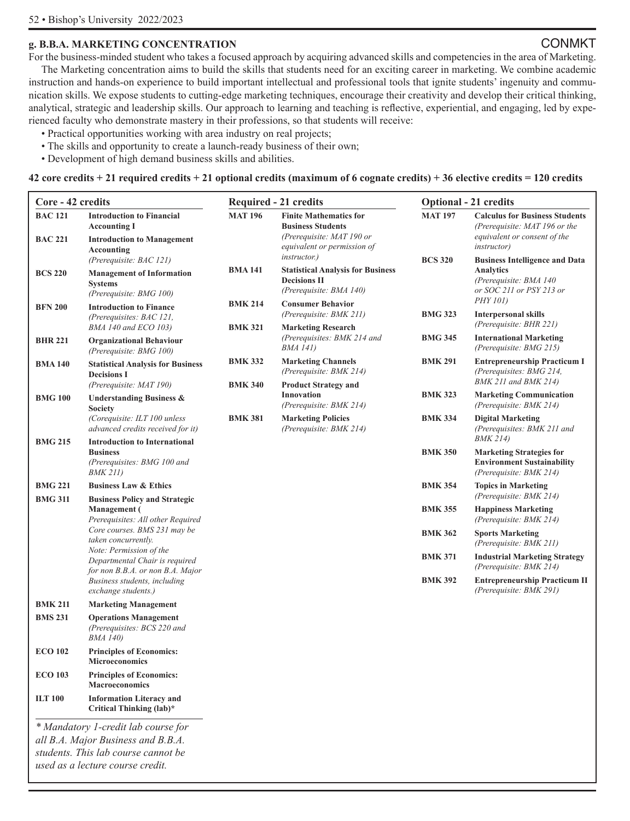#### **g. B.B.A. MARKETING CONCENTRATION** CONMKT

For the business-minded student who takes a focused approach by acquiring advanced skills and competencies in the area of Marketing. The Marketing concentration aims to build the skills that students need for an exciting career in marketing. We combine academic instruction and hands-on experience to build important intellectual and professional tools that ignite students' ingenuity and communication skills. We expose students to cutting-edge marketing techniques, encourage their creativity and develop their critical thinking, analytical, strategic and leadership skills. Our approach to learning and teaching is reflective, experiential, and engaging, led by experienced faculty who demonstrate mastery in their professions, so that students will receive:

- Practical opportunities working with area industry on real projects;
- The skills and opportunity to create a launch-ready business of their own;
- Development of high demand business skills and abilities.

**42 core credits + 21 required credits + 21 optional credits (maximum of 6 cognate credits) + 36 elective credits = 120 credits** 

| Core - 42 credits                |                                                                                                            |                                  | <b>Required - 21 credits</b>                                                                                          | <b>Optional - 21 credits</b> |                                                                                                                                    |  |
|----------------------------------|------------------------------------------------------------------------------------------------------------|----------------------------------|-----------------------------------------------------------------------------------------------------------------------|------------------------------|------------------------------------------------------------------------------------------------------------------------------------|--|
| <b>BAC 121</b><br><b>BAC 221</b> | <b>Introduction to Financial</b><br><b>Accounting I</b><br><b>Introduction to Management</b><br>Accounting | <b>MAT 196</b>                   | <b>Finite Mathematics for</b><br><b>Business Students</b><br>(Prerequisite: MAT 190 or<br>equivalent or permission of | <b>MAT 197</b>               | <b>Calculus for Business Students</b><br>(Prerequisite: MAT 196 or the<br>equivalent or consent of the<br><i>instructor</i> )      |  |
| <b>BCS 220</b>                   | (Prerequisite: BAC 121)<br><b>Management of Information</b><br><b>Systems</b><br>(Prerequisite: BMG 100)   | <b>BMA 141</b>                   | <i>instructor.</i> )<br><b>Statistical Analysis for Business</b><br><b>Decisions II</b><br>(Prerequisite: BMA 140)    | <b>BCS 320</b>               | <b>Business Intelligence and Data</b><br><b>Analytics</b><br>(Prerequisite: BMA 140<br>or SOC 211 or PSY 213 or<br><i>PHY 101)</i> |  |
| <b>BFN 200</b>                   | <b>Introduction to Finance</b><br>(Prerequisites: BAC 121,<br>BMA 140 and ECO 103)                         | <b>BMK 214</b><br><b>BMK 321</b> | <b>Consumer Behavior</b><br>(Prerequisite: BMK 211)<br><b>Marketing Research</b>                                      | <b>BMG 323</b>               | <b>Interpersonal skills</b><br>(Prerequisite: BHR 221)                                                                             |  |
| <b>BHR 221</b>                   | <b>Organizational Behaviour</b><br>(Prerequisite: BMG 100)                                                 |                                  | (Prerequisites: BMK 214 and<br><i>BMA 141</i> )                                                                       | <b>BMG 345</b>               | <b>International Marketing</b><br>(Prerequisite: BMG 215)                                                                          |  |
| <b>BMA140</b>                    | <b>Statistical Analysis for Business</b><br><b>Decisions I</b><br>(Prerequisite: MAT 190)                  | <b>BMK 332</b><br><b>BMK 340</b> | <b>Marketing Channels</b><br>(Prerequisite: BMK 214)<br><b>Product Strategy and</b>                                   | <b>BMK 291</b>               | <b>Entrepreneurship Practicum I</b><br>(Prerequisites: BMG 214,<br>BMK 211 and BMK 214)                                            |  |
| <b>BMG 100</b>                   | <b>Understanding Business &amp;</b><br><b>Society</b>                                                      |                                  | Innovation<br>(Prerequisite: BMK 214)                                                                                 | <b>BMK 323</b>               | <b>Marketing Communication</b><br>(Prerequisite: BMK 214)                                                                          |  |
| <b>BMG 215</b>                   | (Corequisite: ILT 100 unless<br>advanced credits received for it)<br><b>Introduction to International</b>  | <b>BMK 381</b>                   | <b>Marketing Policies</b><br>(Prerequisite: BMK 214)                                                                  | <b>BMK 334</b>               | <b>Digital Marketing</b><br>(Prerequisites: BMK 211 and<br><i>BMK 214</i> )                                                        |  |
|                                  | <b>Business</b><br>(Prerequisites: BMG 100 and<br><b>BMK 211)</b>                                          |                                  |                                                                                                                       | <b>BMK 350</b>               | <b>Marketing Strategies for</b><br><b>Environment Sustainability</b><br>(Prerequisite: BMK 214)                                    |  |
| <b>BMG 221</b>                   | <b>Business Law &amp; Ethics</b>                                                                           |                                  |                                                                                                                       | <b>BMK 354</b>               | <b>Topics in Marketing</b><br>(Prerequisite: BMK 214)                                                                              |  |
| <b>BMG 311</b>                   | <b>Business Policy and Strategic</b><br><b>Management</b> (<br>Prerequisites: All other Required           |                                  |                                                                                                                       | <b>BMK 355</b>               | <b>Happiness Marketing</b><br>(Prerequisite: BMK 214)                                                                              |  |
|                                  | Core courses. BMS 231 may be<br>taken concurrently.<br>Note: Permission of the                             |                                  |                                                                                                                       | <b>BMK 362</b>               | <b>Sports Marketing</b><br>(Prerequisite: BMK 211)                                                                                 |  |
|                                  | Departmental Chair is required<br>for non B.B.A. or non B.A. Major                                         |                                  |                                                                                                                       | <b>BMK 371</b>               | <b>Industrial Marketing Strategy</b><br>(Prerequisite: BMK 214)                                                                    |  |
|                                  | Business students, including<br>exchange students.)                                                        |                                  |                                                                                                                       | <b>BMK 392</b>               | <b>Entrepreneurship Practicum II</b><br>(Prerequisite: BMK 291)                                                                    |  |
| <b>BMK 211</b>                   | <b>Marketing Management</b>                                                                                |                                  |                                                                                                                       |                              |                                                                                                                                    |  |
| <b>BMS 231</b>                   | <b>Operations Management</b><br>(Prerequisites: BCS 220 and<br><b>BMA 140</b> )                            |                                  |                                                                                                                       |                              |                                                                                                                                    |  |
| <b>ECO 102</b>                   | <b>Principles of Economics:</b><br><b>Microeconomics</b>                                                   |                                  |                                                                                                                       |                              |                                                                                                                                    |  |
| <b>ECO 103</b>                   | <b>Principles of Economics:</b><br><b>Macroeconomics</b>                                                   |                                  |                                                                                                                       |                              |                                                                                                                                    |  |
| <b>ILT 100</b>                   | <b>Information Literacy and</b><br>Critical Thinking (lab)*                                                |                                  |                                                                                                                       |                              |                                                                                                                                    |  |
|                                  | * Mandatory 1-credit lab course for                                                                        |                                  |                                                                                                                       |                              |                                                                                                                                    |  |
|                                  | all B.A. Major Business and B.B.A.                                                                         |                                  |                                                                                                                       |                              |                                                                                                                                    |  |

*students. This lab course cannot be used as a lecture course credit.*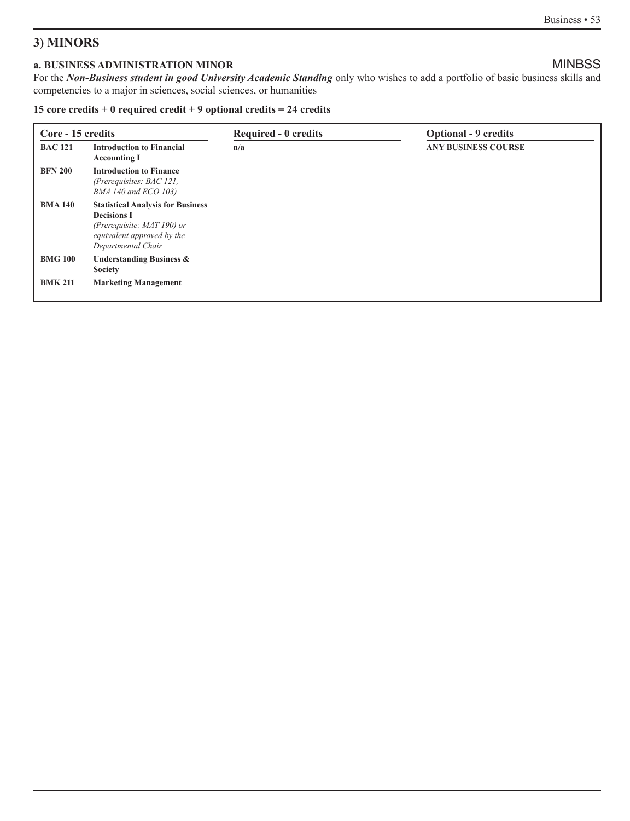## **3) MINORS**

## **a. BUSINESS ADMINISTRATION MINOR** MINOR

For the *Non-Business student in good University Academic Standing* only who wishes to add a portfolio of basic business skills and competencies to a major in sciences, social sciences, or humanities

#### **15 core credits + 0 required credit + 9 optional credits = 24 credits**

| Core - 15 credits |                                                                                                                                                     | <b>Required - 0 credits</b> | <b>Optional - 9 credits</b> |  |  |
|-------------------|-----------------------------------------------------------------------------------------------------------------------------------------------------|-----------------------------|-----------------------------|--|--|
| <b>BAC 121</b>    | <b>Introduction to Financial</b><br><b>Accounting I</b>                                                                                             | n/a                         | <b>ANY BUSINESS COURSE</b>  |  |  |
| <b>BFN 200</b>    | <b>Introduction to Finance</b><br>(Prerequisites: $BAC121$ ,<br>BMA 140 and ECO 103)                                                                |                             |                             |  |  |
| <b>BMA 140</b>    | <b>Statistical Analysis for Business</b><br><b>Decisions I</b><br>(Prerequisite: $MAT 190$ ) or<br>equivalent approved by the<br>Departmental Chair |                             |                             |  |  |
| <b>BMG 100</b>    | <b>Understanding Business &amp;</b><br><b>Society</b>                                                                                               |                             |                             |  |  |
| <b>BMK 211</b>    | <b>Marketing Management</b>                                                                                                                         |                             |                             |  |  |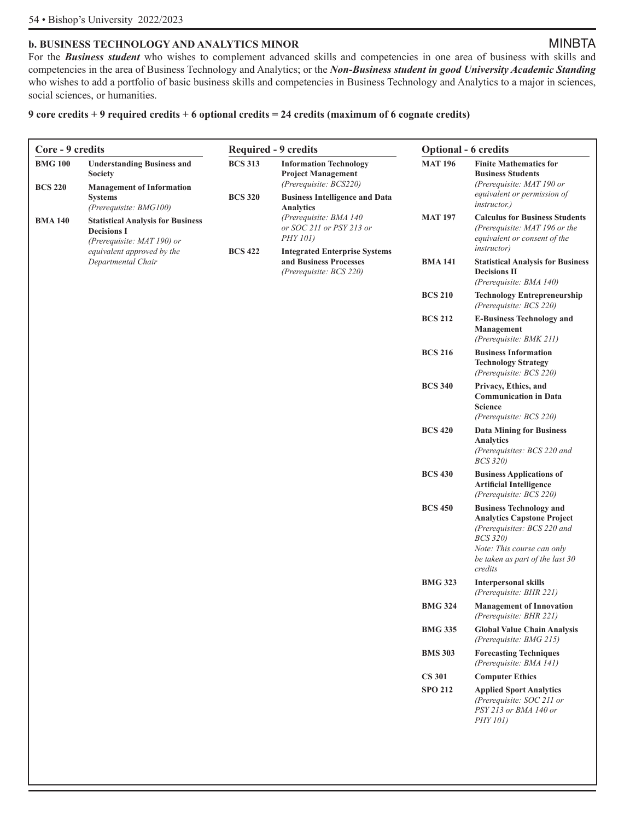#### **b. BUSINESS TECHNOLOGY AND ANALYTICS MINOR** MINOR

For the **Business student** who wishes to complement advanced skills and competencies in one area of business with skills and competencies in the area of Business Technology and Analytics; or the *Non-Business student in good University Academic Standing*  who wishes to add a portfolio of basic business skills and competencies in Business Technology and Analytics to a major in sciences, social sciences, or humanities.

#### **9 core credits + 9 required credits + 6 optional credits = 24 credits (maximum of 6 cognate credits)**

| Core - 9 credits                 |                                                                                                                        | <b>Required - 9 credits</b>      |                                                                                                                               | <b>Optional - 6 credits</b> |                                                                                                                                                                                                   |  |
|----------------------------------|------------------------------------------------------------------------------------------------------------------------|----------------------------------|-------------------------------------------------------------------------------------------------------------------------------|-----------------------------|---------------------------------------------------------------------------------------------------------------------------------------------------------------------------------------------------|--|
| <b>BMG 100</b><br><b>BCS 220</b> | <b>Understanding Business and</b><br><b>Society</b><br><b>Management of Information</b><br><b>Systems</b>              | <b>BCS 313</b><br><b>BCS 320</b> | <b>Information Technology</b><br><b>Project Management</b><br>(Prerequisite: BCS220)<br><b>Business Intelligence and Data</b> | <b>MAT 196</b>              | <b>Finite Mathematics for</b><br><b>Business Students</b><br>(Prerequisite: MAT 190 or<br>equivalent or permission of                                                                             |  |
| <b>BMA 140</b>                   | (Prerequisite: BMG100)<br><b>Statistical Analysis for Business</b><br><b>Decisions I</b><br>(Prerequisite: MAT 190) or |                                  | Analytics<br>(Prerequisite: BMA 140<br>or SOC 211 or PSY 213 or<br><i>PHY</i> 101)                                            | <b>MAT 197</b>              | <i>instructor.</i> )<br><b>Calculus for Business Students</b><br>(Prerequisite: MAT 196 or the<br>equivalent or consent of the<br><i>instructor</i> )                                             |  |
|                                  | equivalent approved by the<br>Departmental Chair                                                                       | <b>BCS 422</b>                   | <b>Integrated Enterprise Systems</b><br>and Business Processes<br>(Prerequisite: BCS 220)                                     | <b>BMA 141</b>              | <b>Statistical Analysis for Business</b><br><b>Decisions II</b><br>(Prerequisite: BMA 140)                                                                                                        |  |
|                                  |                                                                                                                        |                                  |                                                                                                                               | <b>BCS 210</b>              | <b>Technology Entrepreneurship</b><br>(Prerequisite: BCS 220)                                                                                                                                     |  |
|                                  |                                                                                                                        |                                  |                                                                                                                               | <b>BCS 212</b>              | <b>E-Business Technology and</b><br>Management<br>(Prerequisite: BMK 211)                                                                                                                         |  |
|                                  |                                                                                                                        |                                  |                                                                                                                               | <b>BCS 216</b>              | <b>Business Information</b><br><b>Technology Strategy</b><br>(Prerequisite: BCS 220)                                                                                                              |  |
|                                  |                                                                                                                        |                                  |                                                                                                                               | <b>BCS 340</b>              | Privacy, Ethics, and<br><b>Communication in Data</b><br><b>Science</b><br>(Prerequisite: BCS 220)                                                                                                 |  |
|                                  |                                                                                                                        |                                  |                                                                                                                               | <b>BCS 420</b>              | <b>Data Mining for Business</b><br><b>Analytics</b><br>(Prerequisites: BCS 220 and<br><b>BCS 320)</b>                                                                                             |  |
|                                  |                                                                                                                        |                                  |                                                                                                                               | <b>BCS 430</b>              | <b>Business Applications of</b><br><b>Artificial Intelligence</b><br>(Prerequisite: BCS 220)                                                                                                      |  |
|                                  |                                                                                                                        |                                  |                                                                                                                               | <b>BCS 450</b>              | <b>Business Technology and</b><br><b>Analytics Capstone Project</b><br>(Prerequisites: BCS 220 and<br><b>BCS 320)</b><br>Note: This course can only<br>be taken as part of the last 30<br>credits |  |
|                                  |                                                                                                                        |                                  |                                                                                                                               | <b>BMG 323</b>              | <b>Interpersonal skills</b><br>(Prerequisite: BHR 221)                                                                                                                                            |  |
|                                  |                                                                                                                        |                                  |                                                                                                                               | <b>BMG 324</b>              | <b>Management of Innovation</b><br>(Prerequisite: BHR 221)                                                                                                                                        |  |
|                                  |                                                                                                                        |                                  |                                                                                                                               | <b>BMG 335</b>              | <b>Global Value Chain Analysis</b><br>(Prerequisite: BMG 215)                                                                                                                                     |  |
|                                  |                                                                                                                        |                                  |                                                                                                                               | <b>BMS 303</b>              | <b>Forecasting Techniques</b><br>(Prerequisite: BMA 141)                                                                                                                                          |  |
|                                  |                                                                                                                        |                                  |                                                                                                                               | <b>CS 301</b>               | <b>Computer Ethics</b>                                                                                                                                                                            |  |
|                                  |                                                                                                                        |                                  |                                                                                                                               | <b>SPO 212</b>              | <b>Applied Sport Analytics</b><br>(Prerequisite: SOC 211 or<br>PSY 213 or BMA 140 or<br>PHY 101)                                                                                                  |  |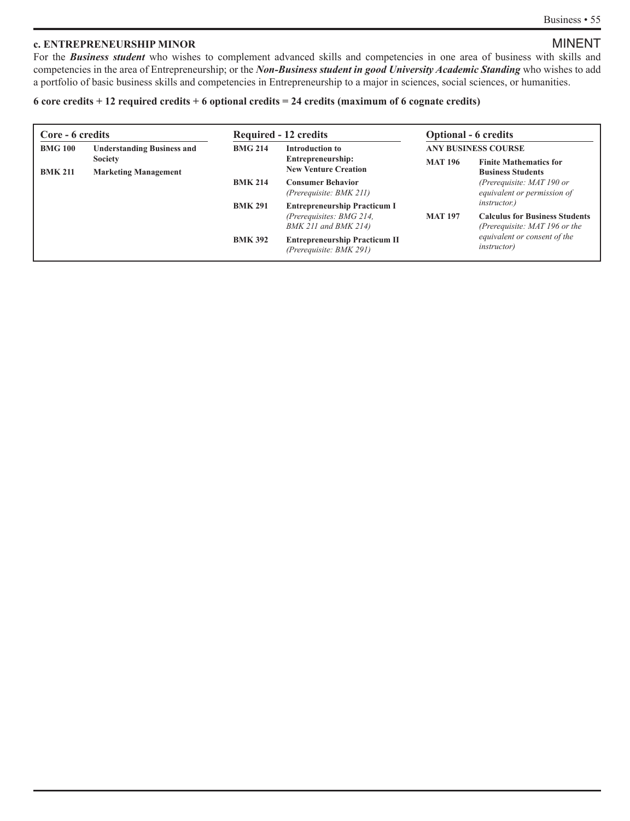### **c. ENTREPRENEURSHIP MINOR** MINOR

For the *Business student* who wishes to complement advanced skills and competencies in one area of business with skills and competencies in the area of Entrepreneurship; or the *Non-Business student in good University Academic Standing* who wishes to add a portfolio of basic business skills and competencies in Entrepreneurship to a major in sciences, social sciences, or humanities.

#### **6 core credits + 12 required credits + 6 optional credits = 24 credits (maximum of 6 cognate credits)**

| Core - 6 credits |                                   |                | <b>Required - 12 credits</b>                                    |                            | <b>Optional - 6 credits</b>                                            |
|------------------|-----------------------------------|----------------|-----------------------------------------------------------------|----------------------------|------------------------------------------------------------------------|
| <b>BMG 100</b>   | <b>Understanding Business and</b> | <b>BMG 214</b> | Introduction to                                                 | <b>ANY BUSINESS COURSE</b> |                                                                        |
|                  | <b>Society</b>                    |                | Entrepreneurship:                                               | <b>MAT 196</b>             | <b>Finite Mathematics for</b>                                          |
| <b>BMK 211</b>   | <b>Marketing Management</b>       |                | <b>New Venture Creation</b>                                     |                            | <b>Business Students</b>                                               |
|                  |                                   | <b>BMK 214</b> | <b>Consumer Behavior</b><br>(Prerequisite: BMK 211)             |                            | (Prerequisite: MAT 190 or<br>equivalent or permission of               |
|                  |                                   | <b>BMK 291</b> | <b>Entrepreneurship Practicum I</b>                             |                            | <i>instructor.</i> )                                                   |
|                  |                                   |                | (Prerequisites: BMG 214,<br>$BMK$ 211 and $BMK$ 214)            | <b>MAT 197</b>             | <b>Calculus for Business Students</b><br>(Prerequisite: MAT 196 or the |
|                  |                                   | <b>BMK 392</b> | <b>Entrepreneurship Practicum II</b><br>(Prerequisite: BMK 291) |                            | equivalent or consent of the<br><i>instructor</i> )                    |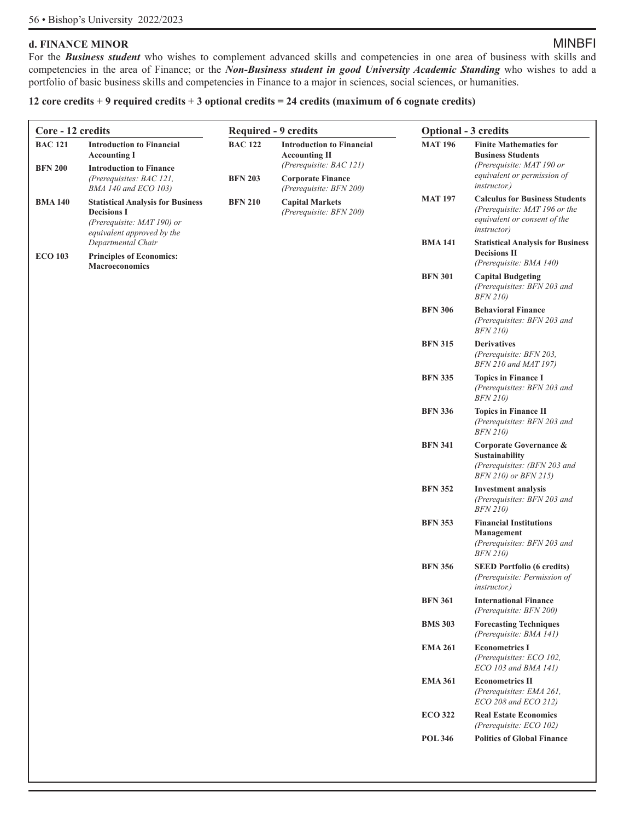### **d. FINANCE MINOR** MINDE

For the **Business student** who wishes to complement advanced skills and competencies in one area of business with skills and competencies in the area of Finance; or the *Non-Business student in good University Academic Standing* who wishes to add a portfolio of basic business skills and competencies in Finance to a major in sciences, social sciences, or humanities.

#### **12 core credits + 9 required credits + 3 optional credits = 24 credits (maximum of 6 cognate credits)**

| Core - 12 credits                |                                                                                                                                               | <b>Required - 9 credits</b>      |                                                                                                                                            | <b>Optional - 3 credits</b> |                                                                                                                                               |
|----------------------------------|-----------------------------------------------------------------------------------------------------------------------------------------------|----------------------------------|--------------------------------------------------------------------------------------------------------------------------------------------|-----------------------------|-----------------------------------------------------------------------------------------------------------------------------------------------|
| <b>BAC 121</b><br><b>BFN 200</b> | <b>Introduction to Financial</b><br><b>Accounting I</b><br><b>Introduction to Finance</b><br>(Prerequisites: BAC 121,<br>BMA 140 and ECO 103) | <b>BAC 122</b><br><b>BFN 203</b> | <b>Introduction to Financial</b><br><b>Accounting II</b><br>(Prerequisite: BAC 121)<br><b>Corporate Finance</b><br>(Prerequisite: BFN 200) | <b>MAT 196</b>              | <b>Finite Mathematics for</b><br><b>Business Students</b><br>(Prerequisite: MAT 190 or<br>equivalent or permission of<br><i>instructor.</i> ) |
| <b>BMA 140</b>                   | <b>Statistical Analysis for Business</b><br><b>Decisions I</b><br>(Prerequisite: MAT 190) or<br>equivalent approved by the                    | <b>BFN 210</b>                   | <b>Capital Markets</b><br>(Prerequisite: BFN 200)                                                                                          | <b>MAT 197</b>              | <b>Calculus for Business Students</b><br>(Prerequisite: MAT 196 or the<br>equivalent or consent of the<br><i>instructor</i> )                 |
| <b>ECO 103</b>                   | Departmental Chair<br><b>Principles of Economics:</b><br><b>Macroeconomics</b>                                                                |                                  |                                                                                                                                            | <b>BMA 141</b>              | <b>Statistical Analysis for Business</b><br><b>Decisions II</b><br>(Prerequisite: BMA 140)                                                    |
|                                  |                                                                                                                                               |                                  |                                                                                                                                            | <b>BFN 301</b>              | <b>Capital Budgeting</b><br>(Prerequisites: BFN 203 and<br><b>BFN 210)</b>                                                                    |
|                                  |                                                                                                                                               |                                  |                                                                                                                                            | <b>BFN 306</b>              | <b>Behavioral Finance</b><br>(Prerequisites: BFN 203 and<br><i>BFN 210)</i>                                                                   |
|                                  |                                                                                                                                               |                                  |                                                                                                                                            | <b>BFN 315</b>              | <b>Derivatives</b><br>(Prerequisite: BFN 203,<br>BFN 210 and MAT 197)                                                                         |
|                                  |                                                                                                                                               |                                  |                                                                                                                                            | <b>BFN 335</b>              | <b>Topics in Finance I</b><br>(Prerequisites: BFN 203 and<br><b>BFN 210)</b>                                                                  |
|                                  |                                                                                                                                               |                                  |                                                                                                                                            | <b>BFN 336</b>              | <b>Topics in Finance II</b><br>(Prerequisites: BFN 203 and<br><b>BFN 210)</b>                                                                 |
|                                  |                                                                                                                                               |                                  |                                                                                                                                            | <b>BFN 341</b>              | Corporate Governance &<br><b>Sustainability</b><br>(Prerequisites: (BFN 203 and<br>BFN 210) or BFN 215)                                       |
|                                  |                                                                                                                                               |                                  |                                                                                                                                            | <b>BFN 352</b>              | <b>Investment analysis</b><br>(Prerequisites: BFN 203 and<br><b>BFN 210)</b>                                                                  |
|                                  |                                                                                                                                               |                                  |                                                                                                                                            | <b>BFN 353</b>              | <b>Financial Institutions</b><br>Management<br>(Prerequisites: BFN 203 and<br><b>BFN 210)</b>                                                 |
|                                  |                                                                                                                                               |                                  |                                                                                                                                            | <b>BFN 356</b>              | <b>SEED Portfolio (6 credits)</b><br>(Prerequisite: Permission of<br><i>instructor.</i> )                                                     |
|                                  |                                                                                                                                               |                                  |                                                                                                                                            | <b>BFN 361</b>              | <b>International Finance</b><br>(Prerequisite: BFN 200)                                                                                       |
|                                  |                                                                                                                                               |                                  |                                                                                                                                            | <b>BMS 303</b>              | <b>Forecasting Techniques</b><br>(Prerequisite: BMA 141)                                                                                      |
|                                  |                                                                                                                                               |                                  |                                                                                                                                            | <b>EMA 261</b>              | <b>Econometrics I</b><br>(Prerequisites: ECO 102,<br>ECO 103 and BMA 141)                                                                     |
|                                  |                                                                                                                                               |                                  |                                                                                                                                            | <b>EMA 361</b>              | <b>Econometrics II</b><br>(Prerequisites: EMA 261,<br>ECO 208 and ECO 212)                                                                    |
|                                  |                                                                                                                                               |                                  |                                                                                                                                            | <b>ECO 322</b>              | <b>Real Estate Economics</b><br>(Prerequisite: ECO 102)                                                                                       |
|                                  |                                                                                                                                               |                                  |                                                                                                                                            | <b>POL 346</b>              | <b>Politics of Global Finance</b>                                                                                                             |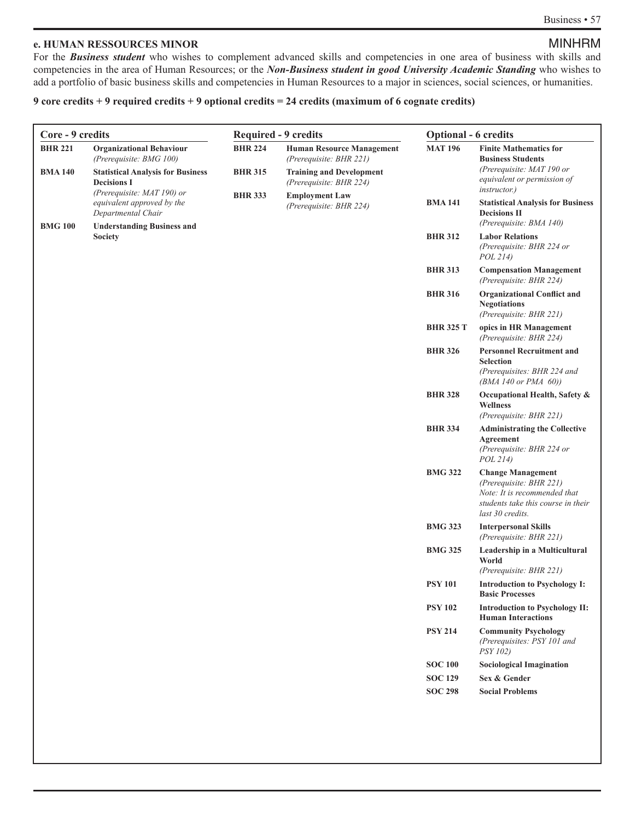#### **e. HUMAN RESSOURCES MINOR** MINOR

For the **Business student** who wishes to complement advanced skills and competencies in one area of business with skills and competencies in the area of Human Resources; or the *Non-Business student in good University Academic Standing* who wishes to add a portfolio of basic business skills and competencies in Human Resources to a major in sciences, social sciences, or humanities.

#### **9 core credits + 9 required credits + 9 optional credits = 24 credits (maximum of 6 cognate credits)**

| <b>BHR 221</b><br><b>BMA 140</b><br><b>BMG 100</b> | <b>Organizational Behaviour</b><br>(Prerequisite: BMG 100)<br><b>Statistical Analysis for Business</b><br><b>Decisions I</b><br>(Prerequisite: MAT 190) or<br>equivalent approved by the<br>Departmental Chair | <b>BHR 224</b><br><b>BHR 315</b><br><b>BHR 333</b> | <b>Human Resource Management</b><br>(Prerequisite: BHR 221)<br><b>Training and Development</b> | <b>MAT 196</b>   | <b>Finite Mathematics for</b><br><b>Business Students</b>                                                                                     |
|----------------------------------------------------|----------------------------------------------------------------------------------------------------------------------------------------------------------------------------------------------------------------|----------------------------------------------------|------------------------------------------------------------------------------------------------|------------------|-----------------------------------------------------------------------------------------------------------------------------------------------|
|                                                    |                                                                                                                                                                                                                |                                                    |                                                                                                |                  |                                                                                                                                               |
|                                                    |                                                                                                                                                                                                                |                                                    | (Prerequisite: BHR 224)                                                                        |                  | (Prerequisite: MAT 190 or<br>equivalent or permission of<br><i>instructor.</i> )                                                              |
|                                                    |                                                                                                                                                                                                                |                                                    | <b>Employment Law</b><br>(Prerequisite: BHR 224)                                               | <b>BMA 141</b>   | <b>Statistical Analysis for Business</b><br><b>Decisions II</b><br>(Prerequisite: BMA 140)                                                    |
|                                                    | <b>Understanding Business and</b><br><b>Society</b>                                                                                                                                                            |                                                    |                                                                                                | <b>BHR 312</b>   | <b>Labor Relations</b><br>(Prerequisite: BHR 224 or<br>POL 214)                                                                               |
|                                                    |                                                                                                                                                                                                                |                                                    |                                                                                                | <b>BHR 313</b>   | <b>Compensation Management</b><br>(Prerequisite: BHR 224)                                                                                     |
|                                                    |                                                                                                                                                                                                                |                                                    |                                                                                                | <b>BHR 316</b>   | <b>Organizational Conflict and</b><br><b>Negotiations</b><br>(Prerequisite: BHR 221)                                                          |
|                                                    |                                                                                                                                                                                                                |                                                    |                                                                                                | <b>BHR 325 T</b> | opics in HR Management<br>(Prerequisite: BHR 224)                                                                                             |
|                                                    |                                                                                                                                                                                                                |                                                    |                                                                                                | <b>BHR 326</b>   | <b>Personnel Recruitment and</b><br><b>Selection</b><br>(Prerequisites: BHR 224 and<br>$(BMA 140$ or PMA $60$ )                               |
|                                                    |                                                                                                                                                                                                                |                                                    |                                                                                                | <b>BHR 328</b>   | Occupational Health, Safety &<br><b>Wellness</b><br>(Prerequisite: BHR 221)                                                                   |
|                                                    |                                                                                                                                                                                                                |                                                    |                                                                                                | <b>BHR 334</b>   | <b>Administrating the Collective</b><br>Agreement<br>(Prerequisite: BHR 224 or<br><i>POL</i> 214)                                             |
|                                                    |                                                                                                                                                                                                                |                                                    |                                                                                                | <b>BMG 322</b>   | <b>Change Management</b><br>(Prerequisite: BHR 221)<br>Note: It is recommended that<br>students take this course in their<br>last 30 credits. |
|                                                    |                                                                                                                                                                                                                |                                                    |                                                                                                | <b>BMG 323</b>   | <b>Interpersonal Skills</b><br>(Prerequisite: BHR 221)                                                                                        |
|                                                    |                                                                                                                                                                                                                |                                                    |                                                                                                | <b>BMG 325</b>   | Leadership in a Multicultural<br>World<br>(Prerequisite: BHR 221)                                                                             |
|                                                    |                                                                                                                                                                                                                |                                                    |                                                                                                | <b>PSY 101</b>   | <b>Introduction to Psychology I:</b><br><b>Basic Processes</b>                                                                                |
|                                                    |                                                                                                                                                                                                                |                                                    |                                                                                                | <b>PSY 102</b>   | <b>Introduction to Psychology II:</b><br><b>Human Interactions</b>                                                                            |
|                                                    |                                                                                                                                                                                                                |                                                    |                                                                                                | <b>PSY 214</b>   | <b>Community Psychology</b><br>(Prerequisites: PSY 101 and<br><i>PSY 102)</i>                                                                 |
|                                                    |                                                                                                                                                                                                                |                                                    |                                                                                                | <b>SOC 100</b>   | <b>Sociological Imagination</b>                                                                                                               |
|                                                    |                                                                                                                                                                                                                |                                                    |                                                                                                | <b>SOC 129</b>   | Sex & Gender                                                                                                                                  |
|                                                    |                                                                                                                                                                                                                |                                                    |                                                                                                | <b>SOC 298</b>   | <b>Social Problems</b>                                                                                                                        |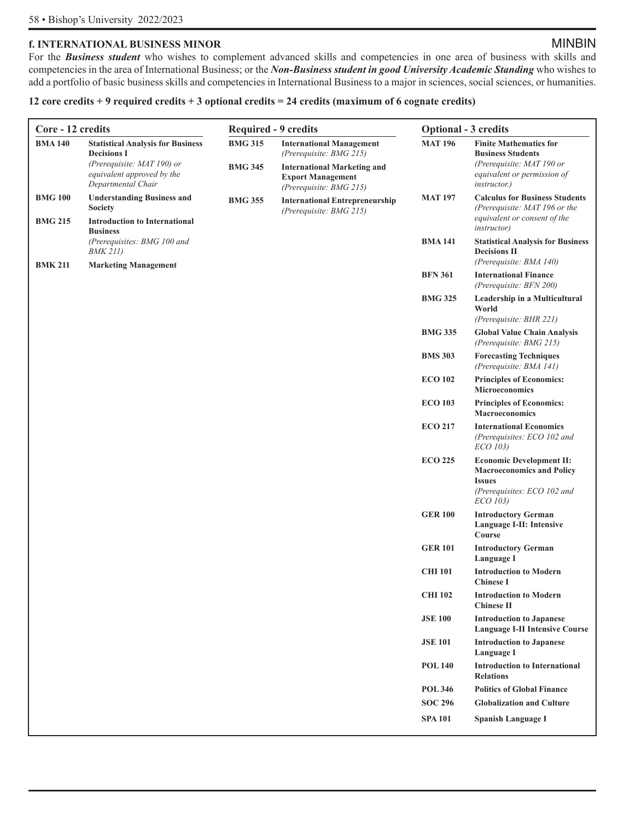### **f. INTERNATIONAL BUSINESS MINOR** MINOR

For the *Business student* who wishes to complement advanced skills and competencies in one area of business with skills and competencies in the area of International Business; or the *Non-Business student in good University Academic Standing* who wishes to add a portfolio of basic business skills and competencies in International Business to a major in sciences, social sciences, or humanities.

#### **12 core credits + 9 required credits + 3 optional credits = 24 credits (maximum of 6 cognate credits)**

| Core - 12 credits                |                                                                                                                | <b>Required - 9 credits</b> |                                                                                           | <b>Optional - 3 credits</b> |                                                                                                                                         |
|----------------------------------|----------------------------------------------------------------------------------------------------------------|-----------------------------|-------------------------------------------------------------------------------------------|-----------------------------|-----------------------------------------------------------------------------------------------------------------------------------------|
| <b>BMA 140</b>                   | <b>Statistical Analysis for Business</b><br><b>Decisions I</b><br>(Prerequisite: MAT 190) or                   | <b>BMG 315</b>              | <b>International Management</b><br>(Prerequisite: BMG 215)                                | <b>MAT 196</b>              | <b>Finite Mathematics for</b><br><b>Business Students</b><br>(Prerequisite: MAT 190 or                                                  |
|                                  | equivalent approved by the<br>Departmental Chair                                                               | <b>BMG 345</b>              | <b>International Marketing and</b><br><b>Export Management</b><br>(Prerequisite: BMG 215) |                             | equivalent or permission of<br><i>instructor.</i> )                                                                                     |
| <b>BMG 100</b><br><b>BMG 215</b> | <b>Understanding Business and</b><br><b>Society</b><br><b>Introduction to International</b><br><b>Business</b> | <b>BMG 355</b>              | <b>International Entrepreneurship</b><br>(Prerequisite: BMG 215)                          | <b>MAT 197</b>              | <b>Calculus for Business Students</b><br>(Prerequisite: MAT 196 or the<br>equivalent or consent of the<br><i>instructor</i> )           |
|                                  | (Prerequisites: BMG 100 and<br><i>BMK 211)</i>                                                                 |                             |                                                                                           | <b>BMA 141</b>              | <b>Statistical Analysis for Business</b><br><b>Decisions II</b><br>(Prerequisite: BMA 140)                                              |
| <b>BMK 211</b>                   | <b>Marketing Management</b>                                                                                    |                             |                                                                                           | <b>BFN 361</b>              | <b>International Finance</b><br>(Prerequisite: BFN 200)                                                                                 |
|                                  |                                                                                                                |                             |                                                                                           | <b>BMG 325</b>              | Leadership in a Multicultural<br>World<br>(Prerequisite: BHR 221)                                                                       |
|                                  |                                                                                                                |                             |                                                                                           | <b>BMG 335</b>              | <b>Global Value Chain Analysis</b><br>(Prerequisite: BMG 215)                                                                           |
|                                  |                                                                                                                |                             |                                                                                           | <b>BMS 303</b>              | <b>Forecasting Techniques</b><br>(Prerequisite: BMA 141)                                                                                |
|                                  |                                                                                                                |                             |                                                                                           | <b>ECO 102</b>              | <b>Principles of Economics:</b><br>Microeconomics                                                                                       |
|                                  |                                                                                                                |                             |                                                                                           | <b>ECO 103</b>              | <b>Principles of Economics:</b><br><b>Macroeconomics</b>                                                                                |
|                                  |                                                                                                                |                             |                                                                                           | <b>ECO 217</b>              | <b>International Economics</b><br>(Prerequisites: ECO 102 and<br>ECO 103)                                                               |
|                                  |                                                                                                                |                             |                                                                                           | <b>ECO 225</b>              | <b>Economic Development II:</b><br><b>Macroeconomics and Policy</b><br><b>Issues</b><br>(Prerequisites: ECO 102 and<br><i>ECO 103</i> ) |
|                                  |                                                                                                                |                             |                                                                                           | <b>GER 100</b>              | <b>Introductory German</b><br>Language I-II: Intensive<br>Course                                                                        |
|                                  |                                                                                                                |                             |                                                                                           | <b>GER 101</b>              | <b>Introductory German</b><br>Language I                                                                                                |
|                                  |                                                                                                                |                             |                                                                                           | <b>CHI 101</b>              | <b>Introduction to Modern</b><br><b>Chinese I</b>                                                                                       |
|                                  |                                                                                                                |                             |                                                                                           | <b>CHI 102</b>              | <b>Introduction to Modern</b><br><b>Chinese II</b>                                                                                      |
|                                  |                                                                                                                |                             |                                                                                           | <b>JSE 100</b>              | <b>Introduction to Japanese</b><br><b>Language I-II Intensive Course</b>                                                                |
|                                  |                                                                                                                |                             |                                                                                           | <b>JSE 101</b>              | <b>Introduction to Japanese</b><br>Language I                                                                                           |
|                                  |                                                                                                                |                             |                                                                                           | <b>POL 140</b>              | <b>Introduction to International</b><br><b>Relations</b>                                                                                |
|                                  |                                                                                                                |                             |                                                                                           | <b>POL 346</b>              | <b>Politics of Global Finance</b>                                                                                                       |
|                                  |                                                                                                                |                             |                                                                                           | <b>SOC 296</b>              | <b>Globalization and Culture</b>                                                                                                        |
|                                  |                                                                                                                |                             |                                                                                           | <b>SPA 101</b>              | <b>Spanish Language I</b>                                                                                                               |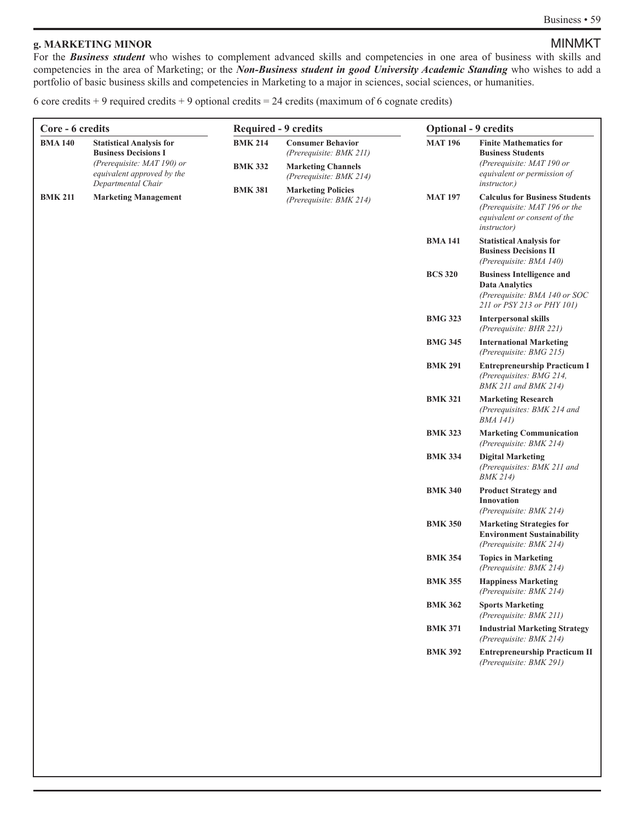#### **g. MARKETING MINOR** MINOR

For the **Business student** who wishes to complement advanced skills and competencies in one area of business with skills and competencies in the area of Marketing; or the *Non-Business student in good University Academic Standing* who wishes to add a portfolio of basic business skills and competencies in Marketing to a major in sciences, social sciences, or humanities.

6 core credits + 9 required credits + 9 optional credits =  $24$  credits (maximum of 6 cognate credits)

| Core - 6 credits |                                                                                              | <b>Required - 9 credits</b>      |                                                                                  | <b>Optional - 9 credits</b> |                                                                                                                               |
|------------------|----------------------------------------------------------------------------------------------|----------------------------------|----------------------------------------------------------------------------------|-----------------------------|-------------------------------------------------------------------------------------------------------------------------------|
| <b>BMA 140</b>   | <b>Statistical Analysis for</b><br><b>Business Decisions I</b><br>(Prerequisite: MAT 190) or | <b>BMK 214</b><br><b>BMK 332</b> | <b>Consumer Behavior</b><br>(Prerequisite: BMK 211)<br><b>Marketing Channels</b> | <b>MAT 196</b>              | <b>Finite Mathematics for</b><br><b>Business Students</b><br>(Prerequisite: MAT 190 or                                        |
|                  | equivalent approved by the<br>Departmental Chair                                             |                                  | (Prerequisite: BMK 214)                                                          |                             | equivalent or permission of<br><i>instructor.</i> )                                                                           |
| <b>BMK 211</b>   | <b>Marketing Management</b>                                                                  | <b>BMK 381</b>                   | <b>Marketing Policies</b><br>(Prerequisite: BMK 214)                             | <b>MAT 197</b>              | <b>Calculus for Business Students</b><br>(Prerequisite: MAT 196 or the<br>equivalent or consent of the<br><i>instructor</i> ) |
|                  |                                                                                              |                                  |                                                                                  | <b>BMA 141</b>              | <b>Statistical Analysis for</b><br><b>Business Decisions II</b><br>(Prerequisite: BMA 140)                                    |
|                  |                                                                                              |                                  |                                                                                  | <b>BCS 320</b>              | <b>Business Intelligence and</b><br><b>Data Analytics</b><br>(Prerequisite: BMA 140 or SOC<br>211 or PSY 213 or PHY 101)      |
|                  |                                                                                              |                                  |                                                                                  | <b>BMG 323</b>              | <b>Interpersonal skills</b><br>(Prerequisite: BHR 221)                                                                        |
|                  |                                                                                              |                                  |                                                                                  | <b>BMG 345</b>              | <b>International Marketing</b><br>(Prerequisite: BMG 215)                                                                     |
|                  |                                                                                              |                                  |                                                                                  | <b>BMK 291</b>              | <b>Entrepreneurship Practicum I</b><br>(Prerequisites: BMG 214,<br><b>BMK 211 and BMK 214)</b>                                |
|                  |                                                                                              |                                  |                                                                                  | <b>BMK 321</b>              | <b>Marketing Research</b><br>(Prerequisites: BMK 214 and<br><i>BMA 141</i> )                                                  |
|                  |                                                                                              |                                  |                                                                                  | <b>BMK 323</b>              | <b>Marketing Communication</b><br>(Prerequisite: BMK 214)                                                                     |
|                  |                                                                                              |                                  |                                                                                  | <b>BMK 334</b>              | <b>Digital Marketing</b><br>(Prerequisites: BMK 211 and<br><b>BMK 214)</b>                                                    |
|                  |                                                                                              |                                  |                                                                                  | <b>BMK 340</b>              | <b>Product Strategy and</b><br>Innovation<br>(Prerequisite: BMK 214)                                                          |
|                  |                                                                                              |                                  |                                                                                  | <b>BMK 350</b>              | <b>Marketing Strategies for</b><br><b>Environment Sustainability</b><br>(Prerequisite: BMK 214)                               |
|                  |                                                                                              |                                  |                                                                                  | <b>BMK 354</b>              | <b>Topics in Marketing</b><br>(Prerequisite: BMK 214)                                                                         |
|                  |                                                                                              |                                  |                                                                                  | <b>BMK 355</b>              | <b>Happiness Marketing</b><br>(Prerequisite: BMK 214)                                                                         |
|                  |                                                                                              |                                  |                                                                                  | <b>BMK 362</b>              | <b>Sports Marketing</b><br>(Prerequisite: BMK 211)                                                                            |
|                  |                                                                                              |                                  |                                                                                  | <b>BMK 371</b>              | <b>Industrial Marketing Strategy</b><br>(Prerequisite: BMK 214)                                                               |
|                  |                                                                                              |                                  |                                                                                  | <b>BMK 392</b>              | <b>Entrepreneurship Practicum II</b><br>(Prerequisite: BMK 291)                                                               |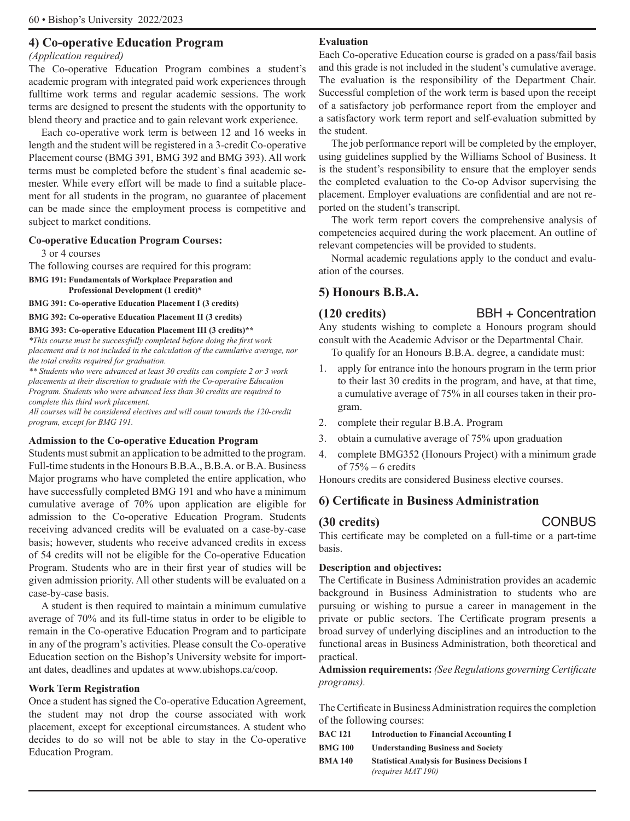### **4) Co-operative Education Program**

#### *(Application required)*

The Co-operative Education Program combines a student's academic program with integrated paid work experiences through fulltime work terms and regular academic sessions. The work terms are designed to present the students with the opportunity to blend theory and practice and to gain relevant work experience.

Each co-operative work term is between 12 and 16 weeks in length and the student will be registered in a 3-credit Co-operative Placement course (BMG 391, BMG 392 and BMG 393). All work terms must be completed before the student`s final academic semester. While every effort will be made to find a suitable placement for all students in the program, no guarantee of placement can be made since the employment process is competitive and subject to market conditions.

#### **Co-operative Education Program Courses:**

3 or 4 courses

The following courses are required for this program:

- **BMG 191: Fundamentals of Workplace Preparation and Professional Development (1 credit)\***
- **BMG 391: Co-operative Education Placement I (3 credits)**

**BMG 392: Co-operative Education Placement II (3 credits)** 

#### **BMG 393: Co-operative Education Placement III (3 credits)\*\***

*\*This course must be successfully completed before doing the first work placement and is not included in the calculation of the cumulative average, nor the total credits required for graduation.* 

*\*\* Students who were advanced at least 30 credits can complete 2 or 3 work placements at their discretion to graduate with the Co-operative Education Program. Students who were advanced less than 30 credits are required to complete this third work placement.* 

*All courses will be considered electives and will count towards the 120-credit program, except for BMG 191.* 

#### **Admission to the Co-operative Education Program**

Students must submit an application to be admitted to the program. Full-time students in the Honours B.B.A., B.B.A. or B.A. Business Major programs who have completed the entire application, who have successfully completed BMG 191 and who have a minimum cumulative average of 70% upon application are eligible for admission to the Co-operative Education Program. Students receiving advanced credits will be evaluated on a case-by-case basis; however, students who receive advanced credits in excess of 54 credits will not be eligible for the Co-operative Education Program. Students who are in their first year of studies will be given admission priority. All other students will be evaluated on a case-by-case basis.

A student is then required to maintain a minimum cumulative average of 70% and its full-time status in order to be eligible to remain in the Co-operative Education Program and to participate in any of the program's activities. Please consult the Co-operative Education section on the Bishop's University website for important dates, deadlines and updates at www.ubishops.ca/coop.

#### **Work Term Registration**

Once a student has signed the Co-operative Education Agreement, the student may not drop the course associated with work placement, except for exceptional circumstances. A student who decides to do so will not be able to stay in the Co-operative Education Program.

#### **Evaluation**

Each Co-operative Education course is graded on a pass/fail basis and this grade is not included in the student's cumulative average. The evaluation is the responsibility of the Department Chair. Successful completion of the work term is based upon the receipt of a satisfactory job performance report from the employer and a satisfactory work term report and self-evaluation submitted by the student.

The job performance report will be completed by the employer, using guidelines supplied by the Williams School of Business. It is the student's responsibility to ensure that the employer sends the completed evaluation to the Co-op Advisor supervising the placement. Employer evaluations are confidential and are not reported on the student's transcript.

The work term report covers the comprehensive analysis of competencies acquired during the work placement. An outline of relevant competencies will be provided to students.

Normal academic regulations apply to the conduct and evaluation of the courses.

### **5) Honours B.B.A.**

#### **(120 credits)** BBH + Concentration

Any students wishing to complete a Honours program should consult with the Academic Advisor or the Departmental Chair. To qualify for an Honours B.B.A. degree, a candidate must:

- 1. apply for entrance into the honours program in the term prior to their last 30 credits in the program, and have, at that time, a cumulative average of 75% in all courses taken in their program.
- 2. complete their regular B.B.A. Program
- 3. obtain a cumulative average of 75% upon graduation
- 4. complete BMG352 (Honours Project) with a minimum grade of  $75% - 6$  credits

Honours credits are considered Business elective courses.

### **6) Certificate in Business Administration**

#### **(30 credits)** CONBUS

This certificate may be completed on a full-time or a part-time basis.

#### **Description and objectives:**

The Certificate in Business Administration provides an academic background in Business Administration to students who are pursuing or wishing to pursue a career in management in the private or public sectors. The Certificate program presents a broad survey of underlying disciplines and an introduction to the functional areas in Business Administration, both theoretical and practical.

**Admission requirements:** *(See Regulations governing Certificate programs).* 

The Certificate in Business Administration requires the completion of the following courses:

| <b>BAC 121</b> | <b>Introduction to Financial Accounting I</b>                                     |
|----------------|-----------------------------------------------------------------------------------|
| <b>BMG 100</b> | <b>Understanding Business and Society</b>                                         |
| <b>BMA 140</b> | <b>Statistical Analysis for Business Decisions I</b><br><i>(requires MAT 190)</i> |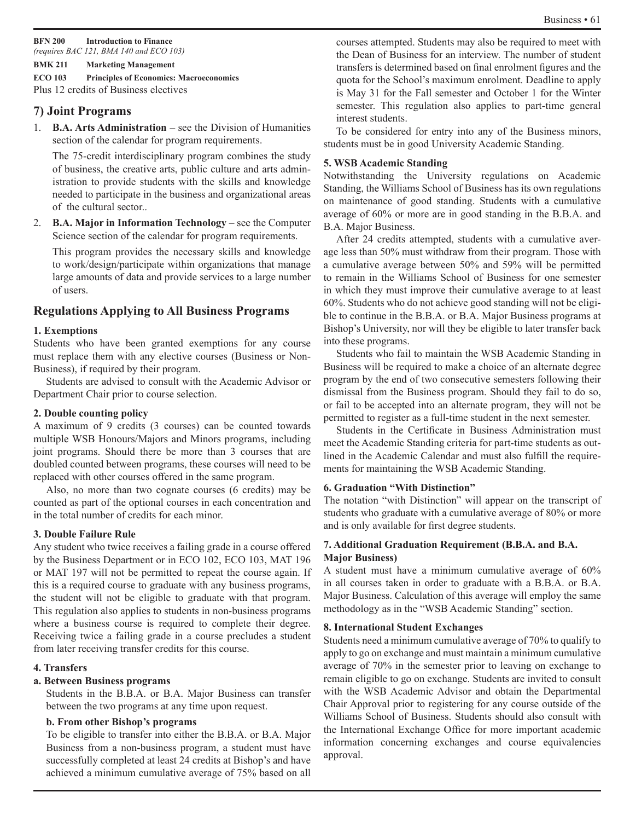**BFN 200 Introduction to Finance**  *(requires BAC 121, BMA 140 and ECO 103)* 

#### **BMK 211 Marketing Management**

**ECO 103 Principles of Economics: Macroeconomics**  Plus 12 credits of Business electives

### **7) Joint Programs**

1. **B.A. Arts Administration** – see the Division of Humanities section of the calendar for program requirements.

The 75-credit interdisciplinary program combines the study of business, the creative arts, public culture and arts administration to provide students with the skills and knowledge needed to participate in the business and organizational areas of the cultural sector..

2. **B.A. Major in Information Technology** – see the Computer Science section of the calendar for program requirements.

This program provides the necessary skills and knowledge to work/design/participate within organizations that manage large amounts of data and provide services to a large number of users.

### **Regulations Applying to All Business Programs**

#### **1. Exemptions**

Students who have been granted exemptions for any course must replace them with any elective courses (Business or Non-Business), if required by their program.

Students are advised to consult with the Academic Advisor or Department Chair prior to course selection.

#### **2. Double counting policy**

A maximum of 9 credits (3 courses) can be counted towards multiple WSB Honours/Majors and Minors programs, including joint programs. Should there be more than 3 courses that are doubled counted between programs, these courses will need to be replaced with other courses offered in the same program.

Also, no more than two cognate courses (6 credits) may be counted as part of the optional courses in each concentration and in the total number of credits for each minor.

#### **3. Double Failure Rule**

Any student who twice receives a failing grade in a course offered by the Business Department or in ECO 102, ECO 103, MAT 196 or MAT 197 will not be permitted to repeat the course again. If this is a required course to graduate with any business programs, the student will not be eligible to graduate with that program. This regulation also applies to students in non-business programs where a business course is required to complete their degree. Receiving twice a failing grade in a course precludes a student from later receiving transfer credits for this course.

#### **4. Transfers**

#### **a. Between Business programs**

Students in the B.B.A. or B.A. Major Business can transfer between the two programs at any time upon request.

#### **b. From other Bishop's programs**

To be eligible to transfer into either the B.B.A. or B.A. Major Business from a non-business program, a student must have successfully completed at least 24 credits at Bishop's and have achieved a minimum cumulative average of 75% based on all courses attempted. Students may also be required to meet with the Dean of Business for an interview. The number of student transfers is determined based on final enrolment figures and the quota for the School's maximum enrolment. Deadline to apply is May 31 for the Fall semester and October 1 for the Winter semester. This regulation also applies to part-time general interest students.

To be considered for entry into any of the Business minors, students must be in good University Academic Standing.

#### **5. WSB Academic Standing**

Notwithstanding the University regulations on Academic Standing, the Williams School of Business has its own regulations on maintenance of good standing. Students with a cumulative average of 60% or more are in good standing in the B.B.A. and B.A. Major Business.

After 24 credits attempted, students with a cumulative average less than 50% must withdraw from their program. Those with a cumulative average between 50% and 59% will be permitted to remain in the Williams School of Business for one semester in which they must improve their cumulative average to at least 60%. Students who do not achieve good standing will not be eligible to continue in the B.B.A. or B.A. Major Business programs at Bishop's University, nor will they be eligible to later transfer back into these programs.

Students who fail to maintain the WSB Academic Standing in Business will be required to make a choice of an alternate degree program by the end of two consecutive semesters following their dismissal from the Business program. Should they fail to do so, or fail to be accepted into an alternate program, they will not be permitted to register as a full-time student in the next semester.

Students in the Certificate in Business Administration must meet the Academic Standing criteria for part-time students as outlined in the Academic Calendar and must also fulfill the requirements for maintaining the WSB Academic Standing.

#### **6. Graduation "With Distinction"**

The notation "with Distinction" will appear on the transcript of students who graduate with a cumulative average of 80% or more and is only available for first degree students.

#### **7. Additional Graduation Requirement (B.B.A. and B.A. Major Business)**

A student must have a minimum cumulative average of 60% in all courses taken in order to graduate with a B.B.A. or B.A. Major Business. Calculation of this average will employ the same methodology as in the "WSB Academic Standing" section.

#### **8. International Student Exchanges**

Students need a minimum cumulative average of 70% to qualify to apply to go on exchange and must maintain a minimum cumulative average of 70% in the semester prior to leaving on exchange to remain eligible to go on exchange. Students are invited to consult with the WSB Academic Advisor and obtain the Departmental Chair Approval prior to registering for any course outside of the Williams School of Business. Students should also consult with the International Exchange Office for more important academic information concerning exchanges and course equivalencies approval.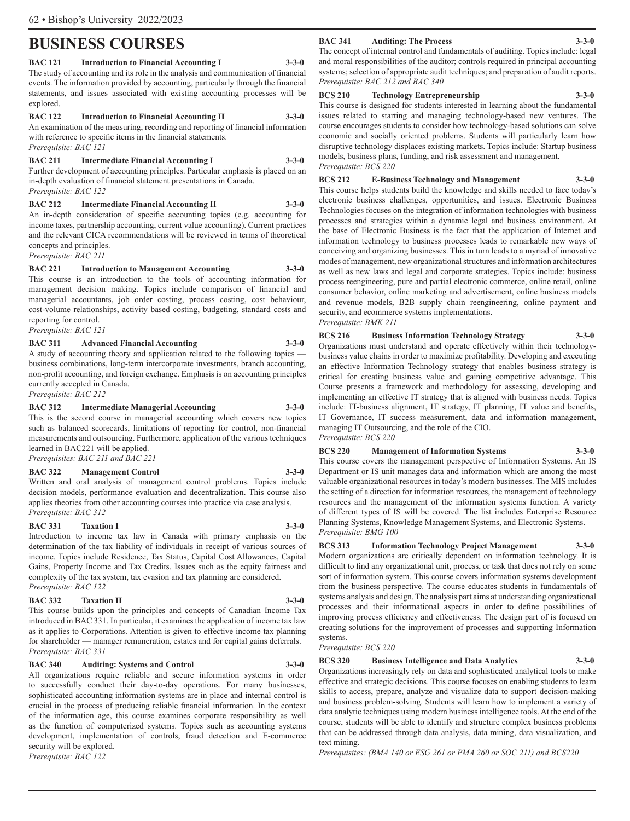## **BUSINESS COURSES**

#### **BAC 121 Introduction to Financial Accounting I 3-3-0**

The study of accounting and its role in the analysis and communication of financial events. The information provided by accounting, particularly through the financial statements, and issues associated with existing accounting processes will be explored.

#### **BAC 122 Introduction to Financial Accounting II 3-3-0**

An examination of the measuring, recording and reporting of financial information with reference to specific items in the financial statements. *Prerequisite: BAC 121* 

#### **BAC 211 Intermediate Financial Accounting I 3-3-0**

Further development of accounting principles. Particular emphasis is placed on an in-depth evaluation of financial statement presentations in Canada. *Prerequisite: BAC 122* 

#### **BAC 212 Intermediate Financial Accounting II 3-3-0**

An in-depth consideration of specific accounting topics (e.g. accounting for income taxes, partnership accounting, current value accounting). Current practices and the relevant CICA recommendations will be reviewed in terms of theoretical concepts and principles.

*Prerequisite: BAC 211* 

#### **BAC 221 Introduction to Management Accounting 3-3-0**

This course is an introduction to the tools of accounting information for management decision making. Topics include comparison of financial and managerial accountants, job order costing, process costing, cost behaviour, cost-volume relationships, activity based costing, budgeting, standard costs and reporting for control.

*Prerequisite: BAC 121* 

### **BAC 311 Advanced Financial Accounting 3-3-0**

A study of accounting theory and application related to the following topics business combinations, long-term intercorporate investments, branch accounting, non-profit accounting, and foreign exchange. Emphasis is on accounting principles currently accepted in Canada.

*Prerequisite: BAC 212* 

#### **BAC 312 Intermediate Managerial Accounting 3-3-0**

This is the second course in managerial accounting which covers new topics such as balanced scorecards, limitations of reporting for control, non-financial measurements and outsourcing. Furthermore, application of the various techniques learned in BAC221 will be applied. *Prerequisites: BAC 211 and BAC 221* 

#### **BAC 322 Management Control 3-3-0**

Written and oral analysis of management control problems. Topics include decision models, performance evaluation and decentralization. This course also applies theories from other accounting courses into practice via case analysis. *Prerequisite: BAC 312*

#### **BAC 331** Taxation I 3-3-0

Introduction to income tax law in Canada with primary emphasis on the determination of the tax liability of individuals in receipt of various sources of income. Topics include Residence, Tax Status, Capital Cost Allowances, Capital Gains, Property Income and Tax Credits. Issues such as the equity fairness and complexity of the tax system, tax evasion and tax planning are considered. *Prerequisite: BAC 122* 

#### **BAC 332** Taxation II 3-3-0

This course builds upon the principles and concepts of Canadian Income Tax introduced in BAC 331. In particular, it examines the application of income tax law as it applies to Corporations. Attention is given to effective income tax planning for shareholder — manager remuneration, estates and for capital gains deferrals. *Prerequisite: BAC 331* 

#### **BAC 340 Auditing: Systems and Control 3-3-0**

All organizations require reliable and secure information systems in order to successfully conduct their day-to-day operations. For many businesses, sophisticated accounting information systems are in place and internal control is crucial in the process of producing reliable financial information. In the context of the information age, this course examines corporate responsibility as well as the function of computerized systems. Topics such as accounting systems development, implementation of controls, fraud detection and E-commerce security will be explored.

*Prerequisite: BAC 122*

#### **BAC 341 Auditing: The Process 3-3-0**

The concept of internal control and fundamentals of auditing. Topics include: legal and moral responsibilities of the auditor; controls required in principal accounting systems; selection of appropriate audit techniques; and preparation of audit reports. *Prerequisite: BAC 212 and BAC 340*

#### **BCS 210 Technology Entrepreneurship 3-3-0**

This course is designed for students interested in learning about the fundamental issues related to starting and managing technology-based new ventures. The course encourages students to consider how technology-based solutions can solve economic and socially oriented problems. Students will particularly learn how disruptive technology displaces existing markets. Topics include: Startup business models, business plans, funding, and risk assessment and management. *Prerequisite: BCS 220*

## **BCS 212 E-Business Technology and Management 3-3-0**

This course helps students build the knowledge and skills needed to face today's electronic business challenges, opportunities, and issues. Electronic Business Technologies focuses on the integration of information technologies with business processes and strategies within a dynamic legal and business environment. At the base of Electronic Business is the fact that the application of Internet and information technology to business processes leads to remarkable new ways of conceiving and organizing businesses. This in turn leads to a myriad of innovative modes of management, new organizational structures and information architectures as well as new laws and legal and corporate strategies. Topics include: business process reengineering, pure and partial electronic commerce, online retail, online consumer behavior, online marketing and advertisement, online business models and revenue models, B2B supply chain reengineering, online payment and security, and ecommerce systems implementations. *Prerequisite: BMK 211*

**BCS 216 Business Information Technology Strategy 3-3-0** Organizations must understand and operate effectively within their technologybusiness value chains in order to maximize profitability. Developing and executing an effective Information Technology strategy that enables business strategy is critical for creating business value and gaining competitive advantage. This Course presents a framework and methodology for assessing, developing and implementing an effective IT strategy that is aligned with business needs. Topics include: IT-business alignment, IT strategy, IT planning, IT value and benefits, IT Governance, IT success measurement, data and information management, managing IT Outsourcing, and the role of the CIO. *Prerequisite: BCS 220*

#### **BCS 220 Management of Information Systems 3-3-0**

This course covers the management perspective of Information Systems. An IS Department or IS unit manages data and information which are among the most valuable organizational resources in today's modern businesses. The MIS includes the setting of a direction for information resources, the management of technology resources and the management of the information systems function. A variety of different types of IS will be covered. The list includes Enterprise Resource Planning Systems, Knowledge Management Systems, and Electronic Systems. *Prerequisite: BMG 100* 

## **BCS 313 Information Technology Project Management 3-3-0**

Modern organizations are critically dependent on information technology. It is difficult to find any organizational unit, process, or task that does not rely on some sort of information system. This course covers information systems development from the business perspective. The course educates students in fundamentals of systems analysis and design. The analysis part aims at understanding organizational processes and their informational aspects in order to define possibilities of improving process efficiency and effectiveness. The design part of is focused on creating solutions for the improvement of processes and supporting Information systems.

*Prerequisite: BCS 220*

#### **BCS 320 Business Intelligence and Data Analytics 3-3-0** Organizations increasingly rely on data and sophisticated analytical tools to make

effective and strategic decisions. This course focuses on enabling students to learn skills to access, prepare, analyze and visualize data to support decision-making and business problem-solving. Students will learn how to implement a variety of data analytic techniques using modern business intelligence tools. At the end of the course, students will be able to identify and structure complex business problems that can be addressed through data analysis, data mining, data visualization, and text mining.

*Prerequisites: (BMA 140 or ESG 261 or PMA 260 or SOC 211) and BCS220*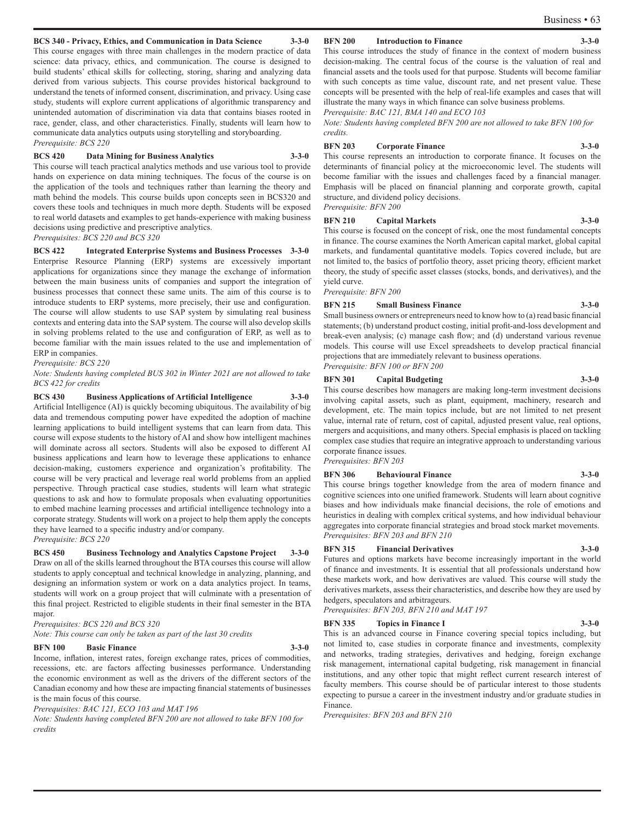#### **BCS 340 - Privacy, Ethics, and Communication in Data Science 3-3-0**

This course engages with three main challenges in the modern practice of data science: data privacy, ethics, and communication. The course is designed to build students' ethical skills for collecting, storing, sharing and analyzing data derived from various subjects. This course provides historical background to understand the tenets of informed consent, discrimination, and privacy. Using case study, students will explore current applications of algorithmic transparency and unintended automation of discrimination via data that contains biases rooted in race, gender, class, and other characteristics. Finally, students will learn how to communicate data analytics outputs using storytelling and storyboarding. *Prerequisite: BCS 220*

#### **BCS 420 Data Mining for Business Analytics 3-3-0**

This course will teach practical analytics methods and use various tool to provide hands on experience on data mining techniques. The focus of the course is on the application of the tools and techniques rather than learning the theory and math behind the models. This course builds upon concepts seen in BCS320 and covers these tools and techniques in much more depth. Students will be exposed to real world datasets and examples to get hands-experience with making business decisions using predictive and prescriptive analytics.

*Prerequisites: BCS 220 and BCS 320* 

**BCS 422 Integrated Enterprise Systems and Business Processes 3-3-0** Enterprise Resource Planning (ERP) systems are excessively important applications for organizations since they manage the exchange of information between the main business units of companies and support the integration of business processes that connect these same units. The aim of this course is to introduce students to ERP systems, more precisely, their use and configuration. The course will allow students to use SAP system by simulating real business contexts and entering data into the SAP system. The course will also develop skills in solving problems related to the use and configuration of ERP, as well as to become familiar with the main issues related to the use and implementation of ERP in companies.

*Prerequisite: BCS 220*

*Note: Students having completed BUS 302 in Winter 2021 are not allowed to take BCS 422 for credits*

**BCS 430 Business Applications of Artificial Intelligence 3-3-0** Artificial Intelligence (AI) is quickly becoming ubiquitous. The availability of big data and tremendous computing power have expedited the adoption of machine learning applications to build intelligent systems that can learn from data. This course will expose students to the history of AI and show how intelligent machines will dominate across all sectors. Students will also be exposed to different AI business applications and learn how to leverage these applications to enhance decision-making, customers experience and organization's profitability. The course will be very practical and leverage real world problems from an applied perspective. Through practical case studies, students will learn what strategic questions to ask and how to formulate proposals when evaluating opportunities to embed machine learning processes and artificial intelligence technology into a corporate strategy. Students will work on a project to help them apply the concepts they have learned to a specific industry and/or company.

*Prerequisite: BCS 220*

**BCS 450 Business Technology and Analytics Capstone Project 3-3-0** Draw on all of the skills learned throughout the BTA courses this course will allow students to apply conceptual and technical knowledge in analyzing, planning, and designing an information system or work on a data analytics project. In teams, students will work on a group project that will culminate with a presentation of this final project. Restricted to eligible students in their final semester in the BTA major.

*Prerequisites: BCS 220 and BCS 320*

*Note: This course can only be taken as part of the last 30 credits*

#### **BFN 100 Basic Finance 3-3-0**

Income, inflation, interest rates, foreign exchange rates, prices of commodities, recessions, etc. are factors affecting businesses performance. Understanding the economic environment as well as the drivers of the different sectors of the Canadian economy and how these are impacting financial statements of businesses is the main focus of this course.

*Prerequisites: BAC 121, ECO 103 and MAT 196* 

*Note: Students having completed BFN 200 are not allowed to take BFN 100 for credits*

#### **BFN 200 Introduction to Finance 3-3-0**

This course introduces the study of finance in the context of modern business decision-making. The central focus of the course is the valuation of real and financial assets and the tools used for that purpose. Students will become familiar with such concepts as time value, discount rate, and net present value. These concepts will be presented with the help of real-life examples and cases that will illustrate the many ways in which finance can solve business problems. *Prerequisite: BAC 121, BMA 140 and ECO 103* 

*Note: Students having completed BFN 200 are not allowed to take BFN 100 for credits.*

#### **BFN 203 Corporate Finance 3-3-0**

This course represents an introduction to corporate finance. It focuses on the determinants of financial policy at the microeconomic level. The students will become familiar with the issues and challenges faced by a financial manager. Emphasis will be placed on financial planning and corporate growth, capital structure, and dividend policy decisions. *Prerequisite: BFN 200* 

#### **BFN 210 Capital Markets 3-3-0**

This course is focused on the concept of risk, one the most fundamental concepts in finance. The course examines the North American capital market, global capital markets, and fundamental quantitative models. Topics covered include, but are not limited to, the basics of portfolio theory, asset pricing theory, efficient market theory, the study of specific asset classes (stocks, bonds, and derivatives), and the yield curve.

*Prerequisite: BFN 200* 

#### **BFN 215 Small Business Finance 3-3-0**

Small business owners or entrepreneurs need to know how to (a) read basic financial statements; (b) understand product costing, initial profit-and-loss development and break-even analysis; (c) manage cash flow; and (d) understand various revenue models. This course will use Excel spreadsheets to develop practical financial projections that are immediately relevant to business operations. *Prerequisite: BFN 100 or BFN 200* 

#### **BFN 301 Capital Budgeting 3-3-0**

This course describes how managers are making long-term investment decisions involving capital assets, such as plant, equipment, machinery, research and development, etc. The main topics include, but are not limited to net present value, internal rate of return, cost of capital, adjusted present value, real options, mergers and acquisitions, and many others. Special emphasis is placed on tackling complex case studies that require an integrative approach to understanding various corporate finance issues. *Prerequisites: BFN 203*

**BFN 306 Behavioural Finance 3-3-0** 

This course brings together knowledge from the area of modern finance and cognitive sciences into one unified framework. Students will learn about cognitive biases and how individuals make financial decisions, the role of emotions and heuristics in dealing with complex critical systems, and how individual behaviour aggregates into corporate financial strategies and broad stock market movements. *Prerequisites: BFN 203 and BFN 210*

#### **BFN 315 Financial Derivatives 3-3-0**

Futures and options markets have become increasingly important in the world of finance and investments. It is essential that all professionals understand how these markets work, and how derivatives are valued. This course will study the derivatives markets, assess their characteristics, and describe how they are used by hedgers, speculators and arbitrageurs.

*Prerequisites: BFN 203, BFN 210 and MAT 197*

#### **BFN 335** Topics in Finance I 3-3-0

This is an advanced course in Finance covering special topics including, but not limited to, case studies in corporate finance and investments, complexity and networks, trading strategies, derivatives and hedging, foreign exchange risk management, international capital budgeting, risk management in financial institutions, and any other topic that might reflect current research interest of faculty members. This course should be of particular interest to those students expecting to pursue a career in the investment industry and/or graduate studies in Finance.

*Prerequisites: BFN 203 and BFN 210*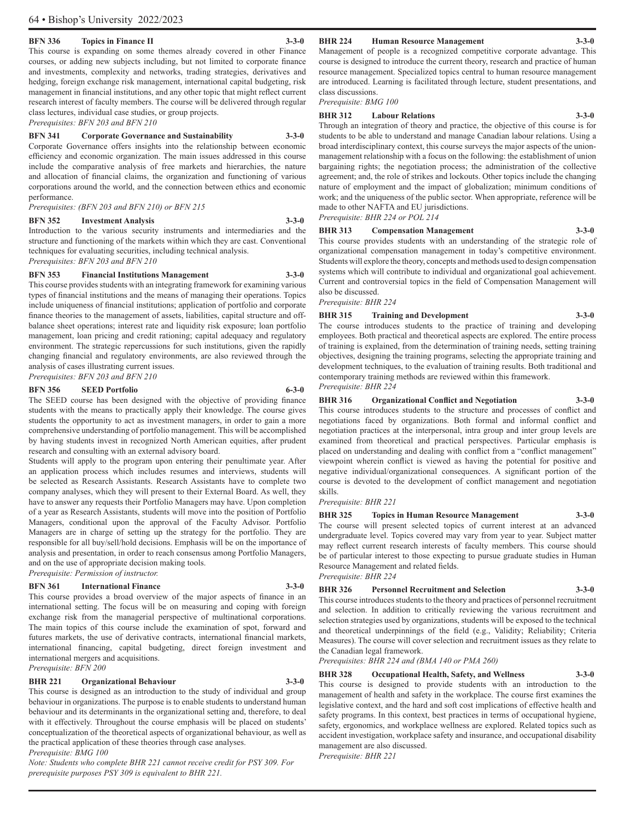#### **BFN 336 Topics in Finance II 3-3-0**

This course is expanding on some themes already covered in other Finance courses, or adding new subjects including, but not limited to corporate finance and investments, complexity and networks, trading strategies, derivatives and hedging, foreign exchange risk management, international capital budgeting, risk management in financial institutions, and any other topic that might reflect current research interest of faculty members. The course will be delivered through regular class lectures, individual case studies, or group projects.

*Prerequisites: BFN 203 and BFN 210* 

#### **BFN 341 Corporate Governance and Sustainability 3-3-0**

Corporate Governance offers insights into the relationship between economic efficiency and economic organization. The main issues addressed in this course include the comparative analysis of free markets and hierarchies, the nature and allocation of financial claims, the organization and functioning of various corporations around the world, and the connection between ethics and economic performance.

*Prerequisites: (BFN 203 and BFN 210) or BFN 215* 

#### **BFN 352 Investment Analysis 3-3-0**

Introduction to the various security instruments and intermediaries and the structure and functioning of the markets within which they are cast. Conventional techniques for evaluating securities, including technical analysis. *Prerequisites: BFN 203 and BFN 210* 

#### **BFN 353 Financial Institutions Management 3-3-0**

This course provides students with an integrating framework for examining various types of financial institutions and the means of managing their operations. Topics include uniqueness of financial institutions; application of portfolio and corporate finance theories to the management of assets, liabilities, capital structure and offbalance sheet operations; interest rate and liquidity risk exposure; loan portfolio management, loan pricing and credit rationing; capital adequacy and regulatory environment. The strategic repercussions for such institutions, given the rapidly changing financial and regulatory environments, are also reviewed through the analysis of cases illustrating current issues.

*Prerequisites: BFN 203 and BFN 210*

#### **BFN 356 SEED Portfolio 6-3-0**

The SEED course has been designed with the objective of providing finance students with the means to practically apply their knowledge. The course gives students the opportunity to act as investment managers, in order to gain a more comprehensive understanding of portfolio management. This will be accomplished by having students invest in recognized North American equities, after prudent research and consulting with an external advisory board.

Students will apply to the program upon entering their penultimate year. After an application process which includes resumes and interviews, students will be selected as Research Assistants. Research Assistants have to complete two company analyses, which they will present to their External Board. As well, they have to answer any requests their Portfolio Managers may have. Upon completion of a year as Research Assistants, students will move into the position of Portfolio Managers, conditional upon the approval of the Faculty Advisor. Portfolio Managers are in charge of setting up the strategy for the portfolio. They are responsible for all buy/sell/hold decisions. Emphasis will be on the importance of analysis and presentation, in order to reach consensus among Portfolio Managers, and on the use of appropriate decision making tools.

*Prerequisite: Permission of instructor.* 

#### **BFN 361 International Finance 3-3-0**

This course provides a broad overview of the major aspects of finance in an international setting. The focus will be on measuring and coping with foreign exchange risk from the managerial perspective of multinational corporations. The main topics of this course include the examination of spot, forward and futures markets, the use of derivative contracts, international financial markets, international financing, capital budgeting, direct foreign investment and international mergers and acquisitions. *Prerequisite: BFN 200* 

#### **BHR 221 Organizational Behaviour 3-3-0**

This course is designed as an introduction to the study of individual and group behaviour in organizations. The purpose is to enable students to understand human behaviour and its determinants in the organizational setting and, therefore, to deal with it effectively. Throughout the course emphasis will be placed on students' conceptualization of the theoretical aspects of organizational behaviour, as well as the practical application of these theories through case analyses. *Prerequisite: BMG 100* 

*Note: Students who complete BHR 221 cannot receive credit for PSY 309. For prerequisite purposes PSY 309 is equivalent to BHR 221.* 

#### **BHR 224 Human Resource Management 3-3-0**

#### Management of people is a recognized competitive corporate advantage. This course is designed to introduce the current theory, research and practice of human resource management. Specialized topics central to human resource management are introduced. Learning is facilitated through lecture, student presentations, and

class discussions. *Prerequisite: BMG 100*

#### **BHR 312 Labour Relations 3-3-0**

Through an integration of theory and practice, the objective of this course is for students to be able to understand and manage Canadian labour relations. Using a broad interdisciplinary context, this course surveys the major aspects of the unionmanagement relationship with a focus on the following: the establishment of union bargaining rights; the negotiation process; the administration of the collective agreement; and, the role of strikes and lockouts. Other topics include the changing nature of employment and the impact of globalization; minimum conditions of work; and the uniqueness of the public sector. When appropriate, reference will be made to other NAFTA and EU jurisdictions. *Prerequisite: BHR 224 or POL 214* 

#### **BHR 313 Compensation Management 3-3-0**

This course provides students with an understanding of the strategic role of organizational compensation management in today's competitive environment. Students will explore the theory, concepts and methods used to design compensation systems which will contribute to individual and organizational goal achievement. Current and controversial topics in the field of Compensation Management will also be discussed.

*Prerequisite: BHR 224* 

#### **BHR 315 Training and Development 3-3-0**

The course introduces students to the practice of training and developing employees. Both practical and theoretical aspects are explored. The entire process of training is explained, from the determination of training needs, setting training objectives, designing the training programs, selecting the appropriate training and development techniques, to the evaluation of training results. Both traditional and contemporary training methods are reviewed within this framework. *Prerequisite: BHR 224* 

#### **BHR 316 Organizational Conflict and Negotiation 3-3-0**

This course introduces students to the structure and processes of conflict and negotiations faced by organizations. Both formal and informal conflict and negotiation practices at the interpersonal, intra group and inter group levels are examined from theoretical and practical perspectives. Particular emphasis is placed on understanding and dealing with conflict from a "conflict management" viewpoint wherein conflict is viewed as having the potential for positive and negative individual/organizational consequences. A significant portion of the course is devoted to the development of conflict management and negotiation skills.

#### *Prerequisite: BHR 221*

**BHR 325 Topics in Human Resource Management 3-3-0** 

The course will present selected topics of current interest at an advanced undergraduate level. Topics covered may vary from year to year. Subject matter may reflect current research interests of faculty members. This course should be of particular interest to those expecting to pursue graduate studies in Human Resource Management and related fields.

#### *Prerequisite: BHR 224*

#### **BHR 326 Personnel Recruitment and Selection 3-3-0**

This course introduces students to the theory and practices of personnel recruitment and selection. In addition to critically reviewing the various recruitment and selection strategies used by organizations, students will be exposed to the technical and theoretical underpinnings of the field (e.g., Validity; Reliability; Criteria Measures). The course will cover selection and recruitment issues as they relate to the Canadian legal framework.

*Prerequisites: BHR 224 and (BMA 140 or PMA 260)* 

**BHR 328 Occupational Health, Safety, and Wellness 3-3-0**  This course is designed to provide students with an introduction to the management of health and safety in the workplace. The course first examines the legislative context, and the hard and soft cost implications of effective health and safety programs. In this context, best practices in terms of occupational hygiene, safety, ergonomics, and workplace wellness are explored. Related topics such as accident investigation, workplace safety and insurance, and occupational disability management are also discussed.

*Prerequisite: BHR 221*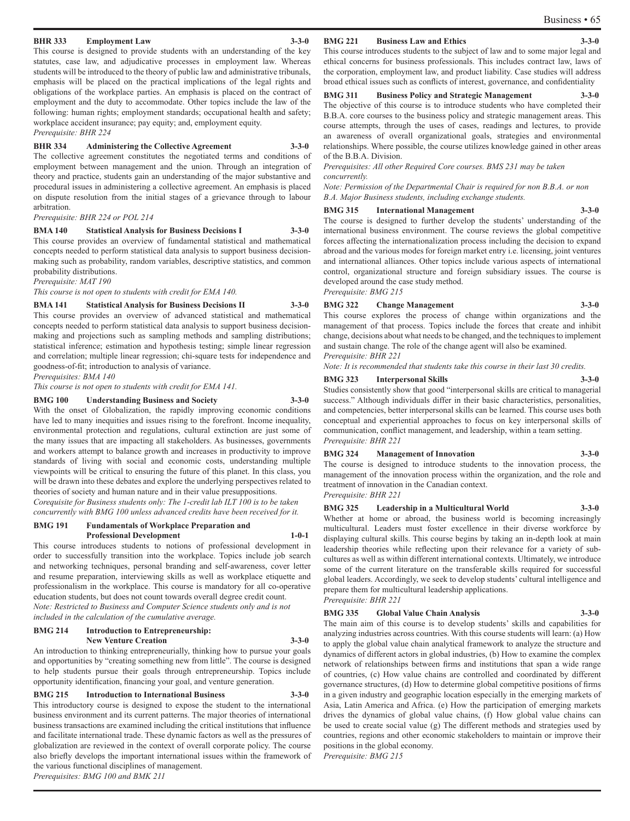#### **BHR 333 Employment Law 3-3-0**

This course is designed to provide students with an understanding of the key statutes, case law, and adjudicative processes in employment law. Whereas students will be introduced to the theory of public law and administrative tribunals, emphasis will be placed on the practical implications of the legal rights and obligations of the workplace parties. An emphasis is placed on the contract of employment and the duty to accommodate. Other topics include the law of the following: human rights; employment standards; occupational health and safety; workplace accident insurance; pay equity; and, employment equity.

*Prerequisite: BHR 224* 

#### **BHR 334 Administering the Collective Agreement 3-3-0**

The collective agreement constitutes the negotiated terms and conditions of employment between management and the union. Through an integration of theory and practice, students gain an understanding of the major substantive and procedural issues in administering a collective agreement. An emphasis is placed on dispute resolution from the initial stages of a grievance through to labour arbitration.

*Prerequisite: BHR 224 or POL 214* 

#### **BMA 140 Statistical Analysis for Business Decisions I 3-3-0**

This course provides an overview of fundamental statistical and mathematical concepts needed to perform statistical data analysis to support business decisionmaking such as probability, random variables, descriptive statistics, and common probability distributions.

*Prerequisite: MAT 190* 

*This course is not open to students with credit for EMA 140.* 

#### **BMA 141 Statistical Analysis for Business Decisions II 3-3-0**

This course provides an overview of advanced statistical and mathematical concepts needed to perform statistical data analysis to support business decisionmaking and projections such as sampling methods and sampling distributions; statistical inference; estimation and hypothesis testing; simple linear regression and correlation; multiple linear regression; chi-square tests for independence and goodness-of-fit; introduction to analysis of variance.

*Prerequisites: BMA 140* 

*This course is not open to students with credit for EMA 141.* 

#### **BMG 100 Understanding Business and Society 3-3-0**

With the onset of Globalization, the rapidly improving economic conditions have led to many inequities and issues rising to the forefront. Income inequality, environmental protection and regulations, cultural extinction are just some of the many issues that are impacting all stakeholders. As businesses, governments and workers attempt to balance growth and increases in productivity to improve standards of living with social and economic costs, understanding multiple viewpoints will be critical to ensuring the future of this planet. In this class, you will be drawn into these debates and explore the underlying perspectives related to theories of society and human nature and in their value presuppositions.

*Corequisite for Business students only: The 1-credit lab ILT 100 is to be taken concurrently with BMG 100 unless advanced credits have been received for it.*

#### **BMG 191 Fundamentals of Workplace Preparation and Professional Development 1-0-1**

This course introduces students to notions of professional development in order to successfully transition into the workplace. Topics include job search and networking techniques, personal branding and self-awareness, cover letter and resume preparation, interviewing skills as well as workplace etiquette and professionalism in the workplace. This course is mandatory for all co-operative education students, but does not count towards overall degree credit count. *Note: Restricted to Business and Computer Science students only and is not included in the calculation of the cumulative average.* 

#### **BMG 214 Introduction to Entrepreneurship: New Venture Creation 3-3-0**

An introduction to thinking entrepreneurially, thinking how to pursue your goals and opportunities by "creating something new from little". The course is designed to help students pursue their goals through entrepreneurship. Topics include opportunity identification, financing your goal, and venture generation.

#### **BMG 215** Introduction to International Business

This introductory course is designed to expose the student to the international business environment and its current patterns. The major theories of international business transactions are examined including the critical institutions that influence and facilitate international trade. These dynamic factors as well as the pressures of globalization are reviewed in the context of overall corporate policy. The course also briefly develops the important international issues within the framework of the various functional disciplines of management. *Prerequisites: BMG 100 and BMK 211* 

#### **BMG 221 Business Law and Ethics 3-3-0**

This course introduces students to the subject of law and to some major legal and ethical concerns for business professionals. This includes contract law, laws of the corporation, employment law, and product liability. Case studies will address broad ethical issues such as conflicts of interest, governance, and confidentiality

#### **BMG 311 Business Policy and Strategic Management 3-3-0**

The objective of this course is to introduce students who have completed their B.B.A. core courses to the business policy and strategic management areas. This course attempts, through the uses of cases, readings and lectures, to provide an awareness of overall organizational goals, strategies and environmental relationships. Where possible, the course utilizes knowledge gained in other areas of the B.B.A. Division.

*Prerequisites: All other Required Core courses. BMS 231 may be taken concurrently.* 

*Note: Permission of the Departmental Chair is required for non B.B.A. or non B.A. Major Business students, including exchange students.* 

#### **BMG 315 International Management 3-3-0**

The course is designed to further develop the students' understanding of the international business environment. The course reviews the global competitive forces affecting the internationalization process including the decision to expand abroad and the various modes for foreign market entry i.e. licensing, joint ventures and international alliances. Other topics include various aspects of international control, organizational structure and foreign subsidiary issues. The course is developed around the case study method. *Prerequisite: BMG 215* 

**BMG 322 Change Management 3-3-0** 

This course explores the process of change within organizations and the management of that process. Topics include the forces that create and inhibit change, decisions about what needs to be changed, and the techniques to implement and sustain change. The role of the change agent will also be examined. *Prerequisite: BHR 221* 

*Note: It is recommended that students take this course in their last 30 credits.* 

#### **BMG 323 Interpersonal Skills 3-3-0**

Studies consistently show that good "interpersonal skills are critical to managerial success." Although individuals differ in their basic characteristics, personalities, and competencies, better interpersonal skills can be learned. This course uses both conceptual and experiential approaches to focus on key interpersonal skills of communication, conflict management, and leadership, within a team setting. *Prerequisite: BHR 221* 

#### **BMG 324 Management of Innovation 3-3-0**

The course is designed to introduce students to the innovation process, the management of the innovation process within the organization, and the role and treatment of innovation in the Canadian context. *Prerequisite: BHR 221* 

**BMG 325 Leadership in a Multicultural World 3-3-0**  Whether at home or abroad, the business world is becoming increasingly multicultural. Leaders must foster excellence in their diverse workforce by displaying cultural skills. This course begins by taking an in-depth look at main leadership theories while reflecting upon their relevance for a variety of subcultures as well as within different international contexts. Ultimately, we introduce some of the current literature on the transferable skills required for successful global leaders. Accordingly, we seek to develop students' cultural intelligence and prepare them for multicultural leadership applications. *Prerequisite: BHR 221* 

#### **BMG 335 Global Value Chain Analysis 3-3-0**

The main aim of this course is to develop students' skills and capabilities for analyzing industries across countries. With this course students will learn: (a) How to apply the global value chain analytical framework to analyze the structure and dynamics of different actors in global industries, (b) How to examine the complex network of relationships between firms and institutions that span a wide range of countries, (c) How value chains are controlled and coordinated by different governance structures, (d) How to determine global competitive positions of firms in a given industry and geographic location especially in the emerging markets of Asia, Latin America and Africa. (e) How the participation of emerging markets drives the dynamics of global value chains, (f) How global value chains can be used to create social value (g) The different methods and strategies used by countries, regions and other economic stakeholders to maintain or improve their positions in the global economy.

*Prerequisite: BMG 215*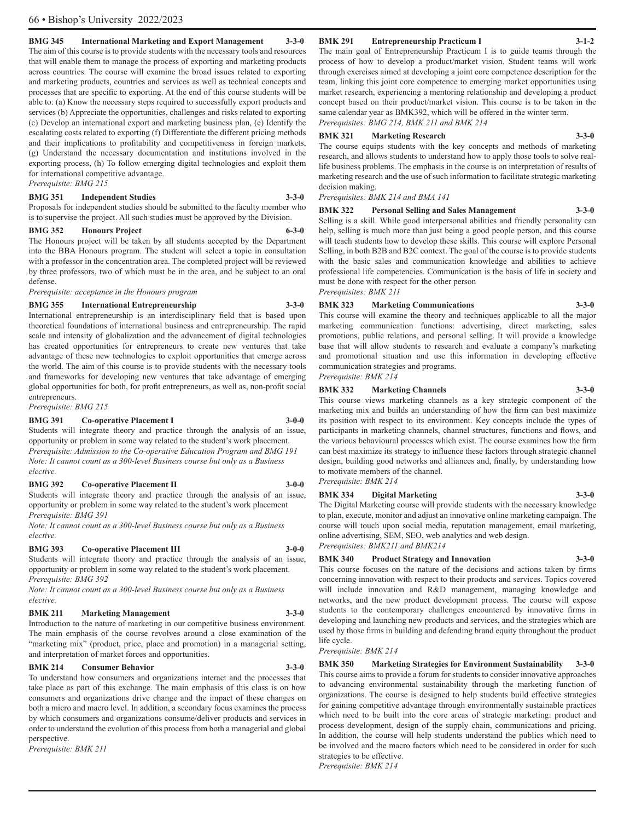The main goal of Entrepreneurship Practicum I is to guide teams through the process of how to develop a product/market vision. Student teams will work through exercises aimed at developing a joint core competence description for the team, linking this joint core competence to emerging market opportunities using market research, experiencing a mentoring relationship and developing a product concept based on their product/market vision. This course is to be taken in the same calendar year as BMK392, which will be offered in the winter term. *Prerequisites: BMG 214, BMK 211 and BMK 214* 

#### **BMK 321 Marketing Research 3-3-0**

The course equips students with the key concepts and methods of marketing research, and allows students to understand how to apply those tools to solve reallife business problems. The emphasis in the course is on interpretation of results of marketing research and the use of such information to facilitate strategic marketing decision making.

*Prerequisites: BMK 214 and BMA 141* 

#### **BMK 322 Personal Selling and Sales Management 3-3-0**

Selling is a skill. While good interpersonal abilities and friendly personality can help, selling is much more than just being a good people person, and this course will teach students how to develop these skills. This course will explore Personal Selling, in both B2B and B2C context. The goal of the course is to provide students with the basic sales and communication knowledge and abilities to achieve professional life competencies. Communication is the basis of life in society and must be done with respect for the other person *Prerequisites: BMK 211*

**BMK 323 Marketing Communications 3-3-0**  This course will examine the theory and techniques applicable to all the major marketing communication functions: advertising, direct marketing, sales promotions, public relations, and personal selling. It will provide a knowledge base that will allow students to research and evaluate a company's marketing and promotional situation and use this information in developing effective communication strategies and programs.

## *Prerequisite: BMK 214*

**BMK 332 Marketing Channels 3-3-0**  This course views marketing channels as a key strategic component of the marketing mix and builds an understanding of how the firm can best maximize its position with respect to its environment. Key concepts include the types of participants in marketing channels, channel structures, functions and flows, and the various behavioural processes which exist. The course examines how the firm can best maximize its strategy to influence these factors through strategic channel design, building good networks and alliances and, finally, by understanding how to motivate members of the channel.

*Prerequisite: BMK 214* 

## **BMK 334 Digital Marketing 3-3-0**

The Digital Marketing course will provide students with the necessary knowledge to plan, execute, monitor and adjust an innovative online marketing campaign. The course will touch upon social media, reputation management, email marketing, online advertising, SEM, SEO, web analytics and web design. *Prerequisites: BMK211 and BMK214*

#### **BMK 340 Product Strategy and Innovation 3-3-0**

This course focuses on the nature of the decisions and actions taken by firms concerning innovation with respect to their products and services. Topics covered will include innovation and R&D management, managing knowledge and networks, and the new product development process. The course will expose students to the contemporary challenges encountered by innovative firms in developing and launching new products and services, and the strategies which are used by those firms in building and defending brand equity throughout the product life cycle.

#### *Prerequisite: BMK 214*

**BMK 350 Marketing Strategies for Environment Sustainability 3-3-0**  This course aims to provide a forum for students to consider innovative approaches to advancing environmental sustainability through the marketing function of organizations. The course is designed to help students build effective strategies for gaining competitive advantage through environmentally sustainable practices which need to be built into the core areas of strategic marketing: product and process development, design of the supply chain, communications and pricing. In addition, the course will help students understand the publics which need to be involved and the macro factors which need to be considered in order for such strategies to be effective. *Prerequisite: BMK 214* 

**BMK 291 Entrepreneurship Practicum I 3-1-2** 

#### 66 • Bishop's University 2022/2023

#### **BMG 345 International Marketing and Export Management 3-3-0**

The aim of this course is to provide students with the necessary tools and resources that will enable them to manage the process of exporting and marketing products across countries. The course will examine the broad issues related to exporting and marketing products, countries and services as well as technical concepts and processes that are specific to exporting. At the end of this course students will be able to: (a) Know the necessary steps required to successfully export products and services (b) Appreciate the opportunities, challenges and risks related to exporting (c) Develop an international export and marketing business plan, (e) Identify the escalating costs related to exporting (f) Differentiate the different pricing methods and their implications to profitability and competitiveness in foreign markets, (g) Understand the necessary documentation and institutions involved in the exporting process, (h) To follow emerging digital technologies and exploit them for international competitive advantage. *Prerequisite: BMG 215* 

#### **BMG 351 Independent Studies 3-3-0**

Proposals for independent studies should be submitted to the faculty member who is to supervise the project. All such studies must be approved by the Division.

#### **BMG 352 Honours Project 6-3-0**

The Honours project will be taken by all students accepted by the Department into the BBA Honours program. The student will select a topic in consultation with a professor in the concentration area. The completed project will be reviewed by three professors, two of which must be in the area, and be subject to an oral

*Prerequisite: acceptance in the Honours program* 

#### **BMG 355 International Entrepreneurship 3-3-0**

International entrepreneurship is an interdisciplinary field that is based upon theoretical foundations of international business and entrepreneurship. The rapid scale and intensity of globalization and the advancement of digital technologies has created opportunities for entrepreneurs to create new ventures that take advantage of these new technologies to exploit opportunities that emerge across the world. The aim of this course is to provide students with the necessary tools and frameworks for developing new ventures that take advantage of emerging global opportunities for both, for profit entrepreneurs, as well as, non-profit social entrepreneurs.

*Prerequisite: BMG 215* 

defense.

#### **BMG 391 Co-operative Placement I 3-0-0**

Students will integrate theory and practice through the analysis of an issue, opportunity or problem in some way related to the student's work placement. *Prerequisite: Admission to the Co-operative Education Program and BMG 191 Note: It cannot count as a 300-level Business course but only as a Business elective.* 

#### **BMG 392 Co-operative Placement II 3-0-0**

Students will integrate theory and practice through the analysis of an issue, opportunity or problem in some way related to the student's work placement *Prerequisite: BMG 391* 

*Note: It cannot count as a 300-level Business course but only as a Business elective.* 

#### **BMG 393 Co-operative Placement III 3-0-0**

Students will integrate theory and practice through the analysis of an issue, opportunity or problem in some way related to the student's work placement. *Prerequisite: BMG 392* 

*Note: It cannot count as a 300-level Business course but only as a Business elective.* 

### **BMK 211 Marketing Management 3-3-0**

Introduction to the nature of marketing in our competitive business environment. The main emphasis of the course revolves around a close examination of the "marketing mix" (product, price, place and promotion) in a managerial setting, and interpretation of market forces and opportunities.

#### **BMK 214 Consumer Behavior 3-3-0**

To understand how consumers and organizations interact and the processes that take place as part of this exchange. The main emphasis of this class is on how consumers and organizations drive change and the impact of these changes on both a micro and macro level. In addition, a secondary focus examines the process by which consumers and organizations consume/deliver products and services in order to understand the evolution of this process from both a managerial and global perspective.

*Prerequisite: BMK 211*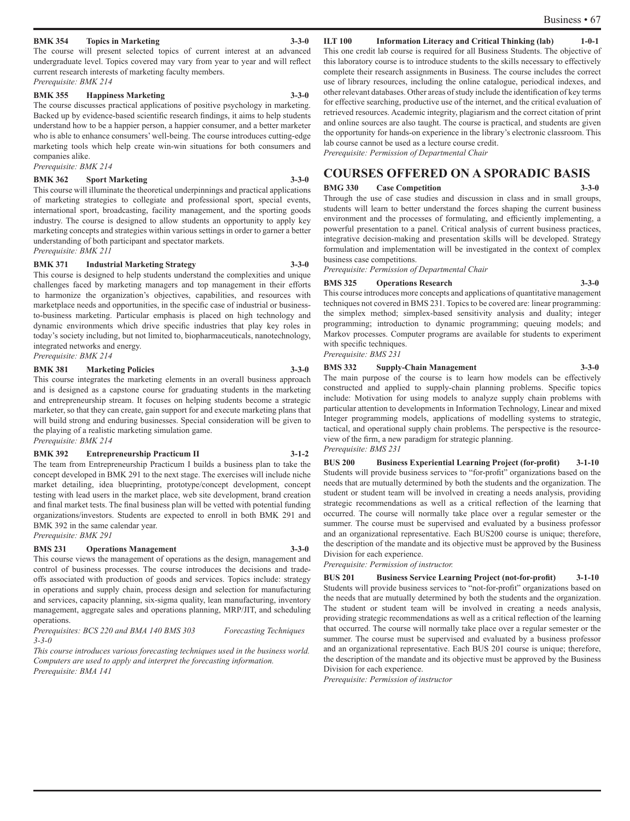#### **BMK 354 Topics in Marketing 3-3-0**

The course will present selected topics of current interest at an advanced undergraduate level. Topics covered may vary from year to year and will reflect current research interests of marketing faculty members. *Prerequisite: BMK 214*

#### **BMK 355 Happiness Marketing 3-3-0**

The course discusses practical applications of positive psychology in marketing. Backed up by evidence-based scientific research findings, it aims to help students understand how to be a happier person, a happier consumer, and a better marketer who is able to enhance consumers' well-being. The course introduces cutting-edge marketing tools which help create win-win situations for both consumers and companies alike.

*Prerequisite: BMK 214* 

#### **BMK 362 Sport Marketing 3-3-0**

This course will illuminate the theoretical underpinnings and practical applications of marketing strategies to collegiate and professional sport, special events, international sport, broadcasting, facility management, and the sporting goods industry. The course is designed to allow students an opportunity to apply key marketing concepts and strategies within various settings in order to garner a better understanding of both participant and spectator markets. *Prerequisite: BMK 211* 

#### **BMK 371 Industrial Marketing Strategy 3-3-0**

This course is designed to help students understand the complexities and unique challenges faced by marketing managers and top management in their efforts to harmonize the organization's objectives, capabilities, and resources with marketplace needs and opportunities, in the specific case of industrial or businessto-business marketing. Particular emphasis is placed on high technology and dynamic environments which drive specific industries that play key roles in today's society including, but not limited to, biopharmaceuticals, nanotechnology, integrated networks and energy.

*Prerequisite: BMK 214* 

#### **BMK 381 Marketing Policies 3-3-0**

This course integrates the marketing elements in an overall business approach and is designed as a capstone course for graduating students in the marketing and entrepreneurship stream. It focuses on helping students become a strategic marketer, so that they can create, gain support for and execute marketing plans that will build strong and enduring businesses. Special consideration will be given to the playing of a realistic marketing simulation game. *Prerequisite: BMK 214* 

#### **BMK 392 Entrepreneurship Practicum II 3-1-2**

The team from Entrepreneurship Practicum I builds a business plan to take the concept developed in BMK 291 to the next stage. The exercises will include niche market detailing, idea blueprinting, prototype/concept development, concept testing with lead users in the market place, web site development, brand creation and final market tests. The final business plan will be vetted with potential funding organizations/investors. Students are expected to enroll in both BMK 291 and BMK 392 in the same calendar year.

#### *Prerequisite: BMK 291*

#### **BMS 231 Operations Management 3-3-0**

This course views the management of operations as the design, management and control of business processes. The course introduces the decisions and tradeoffs associated with production of goods and services. Topics include: strategy in operations and supply chain, process design and selection for manufacturing and services, capacity planning, six-sigma quality, lean manufacturing, inventory management, aggregate sales and operations planning, MRP/JIT, and scheduling operations.

*Prerequisites: BCS 220 and BMA 140 BMS 303 Forecasting Techniques 3-3-0* 

*This course introduces various forecasting techniques used in the business world. Computers are used to apply and interpret the forecasting information. Prerequisite: BMA 141* 

#### **ILT 100 Information Literacy and Critical Thinking (lab) 1-0-1**

This one credit lab course is required for all Business Students. The objective of this laboratory course is to introduce students to the skills necessary to effectively complete their research assignments in Business. The course includes the correct use of library resources, including the online catalogue, periodical indexes, and other relevant databases. Other areas of study include the identification of key terms for effective searching, productive use of the internet, and the critical evaluation of retrieved resources. Academic integrity, plagiarism and the correct citation of print and online sources are also taught. The course is practical, and students are given the opportunity for hands-on experience in the library's electronic classroom. This lab course cannot be used as a lecture course credit.

*Prerequisite: Permission of Departmental Chair*

### **COURSES OFFERED ON A SPORADIC BASIS**

**BMG 330 Case Competition 3-3-0** 

Through the use of case studies and discussion in class and in small groups, students will learn to better understand the forces shaping the current business environment and the processes of formulating, and efficiently implementing, a powerful presentation to a panel. Critical analysis of current business practices, integrative decision-making and presentation skills will be developed. Strategy formulation and implementation will be investigated in the context of complex business case competitions.

*Prerequisite: Permission of Departmental Chair* 

#### **BMS 325 Operations Research 3-3-0**

This course introduces more concepts and applications of quantitative management techniques not covered in BMS 231. Topics to be covered are: linear programming: the simplex method; simplex-based sensitivity analysis and duality; integer programming; introduction to dynamic programming; queuing models; and Markov processes. Computer programs are available for students to experiment with specific techniques. *Prerequisite: BMS 231* 

#### **BMS 332 Supply-Chain Management 3-3-0**

The main purpose of the course is to learn how models can be effectively constructed and applied to supply-chain planning problems. Specific topics include: Motivation for using models to analyze supply chain problems with particular attention to developments in Information Technology, Linear and mixed Integer programming models, applications of modelling systems to strategic, tactical, and operational supply chain problems. The perspective is the resourceview of the firm, a new paradigm for strategic planning.

*Prerequisite: BMS 231* 

**BUS 200 Business Experiential Learning Project (for-profit) 3-1-10**  Students will provide business services to "for-profit" organizations based on the needs that are mutually determined by both the students and the organization. The student or student team will be involved in creating a needs analysis, providing strategic recommendations as well as a critical reflection of the learning that occurred. The course will normally take place over a regular semester or the summer. The course must be supervised and evaluated by a business professor and an organizational representative. Each BUS200 course is unique; therefore, the description of the mandate and its objective must be approved by the Business Division for each experience.

*Prerequisite: Permission of instructor.* 

**BUS 201 Business Service Learning Project (not-for-profit) 3-1-10**  Students will provide business services to "not-for-profit" organizations based on the needs that are mutually determined by both the students and the organization. The student or student team will be involved in creating a needs analysis, providing strategic recommendations as well as a critical reflection of the learning that occurred. The course will normally take place over a regular semester or the summer. The course must be supervised and evaluated by a business professor and an organizational representative. Each BUS 201 course is unique; therefore, the description of the mandate and its objective must be approved by the Business Division for each experience.

*Prerequisite: Permission of instructor*

Business • 67